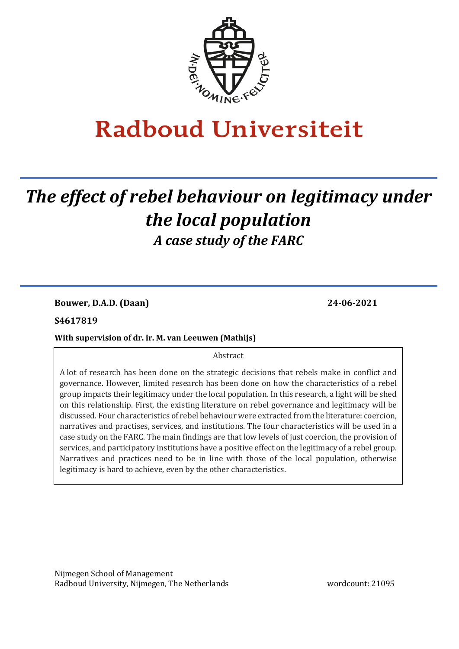

# **Radboud Universiteit**

## *The effect of rebel behaviour on legitimacy under the local population A case study of the FARC*

**Bouwer, D.A.D. (Daan) 24-06-2021**

**S4617819**

### **With supervision of dr. ir. M. van Leeuwen (Mathijs)**

Abstract

A lot of research has been done on the strategic decisions that rebels make in conflict and governance. However, limited research has been done on how the characteristics of a rebel group impacts their legitimacy under the local population. In this research, a light will be shed on this relationship. First, the existing literature on rebel governance and legitimacy will be discussed. Four characteristics of rebel behaviour were extracted from the literature: coercion, narratives and practises, services, and institutions. The four characteristics will be used in a case study on the FARC. The main findings are that low levels of just coercion, the provision of services, and participatory institutions have a positive effect on the legitimacy of a rebel group. Narratives and practices need to be in line with those of the local population, otherwise legitimacy is hard to achieve, even by the other characteristics.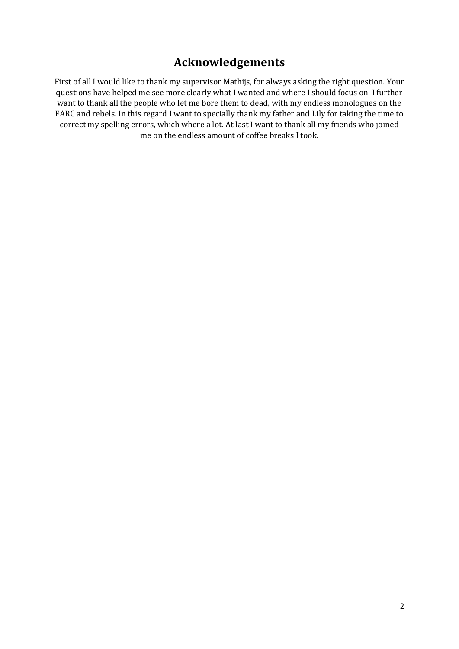### **Acknowledgements**

First of all I would like to thank my supervisor Mathijs, for always asking the right question. Your questions have helped me see more clearly what I wanted and where I should focus on. I further want to thank all the people who let me bore them to dead, with my endless monologues on the FARC and rebels. In this regard I want to specially thank my father and Lily for taking the time to correct my spelling errors, which where a lot. At last I want to thank all my friends who joined me on the endless amount of coffee breaks I took.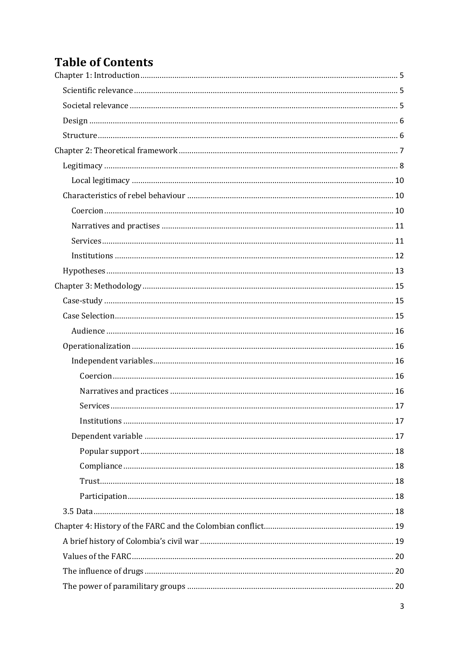## **Table of Contents**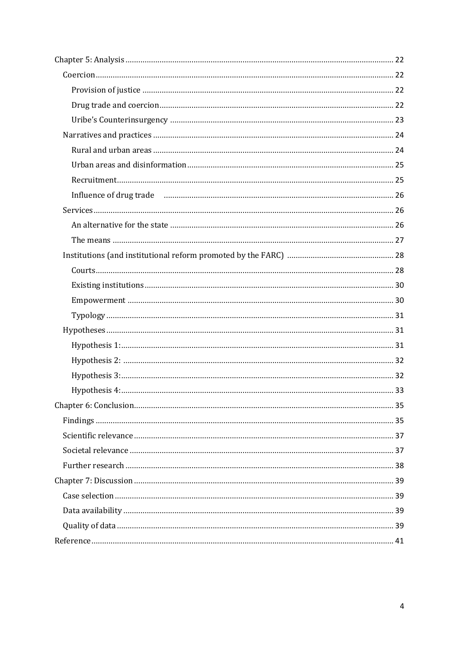| Influence of drug trade manufactured contain the contract of drug trade manufactured contains and the contact of the contact of the contact of the contact of the contact of the contact of the contact of the contact of the |  |
|-------------------------------------------------------------------------------------------------------------------------------------------------------------------------------------------------------------------------------|--|
|                                                                                                                                                                                                                               |  |
|                                                                                                                                                                                                                               |  |
|                                                                                                                                                                                                                               |  |
|                                                                                                                                                                                                                               |  |
|                                                                                                                                                                                                                               |  |
|                                                                                                                                                                                                                               |  |
|                                                                                                                                                                                                                               |  |
|                                                                                                                                                                                                                               |  |
|                                                                                                                                                                                                                               |  |
|                                                                                                                                                                                                                               |  |
|                                                                                                                                                                                                                               |  |
|                                                                                                                                                                                                                               |  |
|                                                                                                                                                                                                                               |  |
|                                                                                                                                                                                                                               |  |
|                                                                                                                                                                                                                               |  |
|                                                                                                                                                                                                                               |  |
|                                                                                                                                                                                                                               |  |
|                                                                                                                                                                                                                               |  |
|                                                                                                                                                                                                                               |  |
|                                                                                                                                                                                                                               |  |
|                                                                                                                                                                                                                               |  |
|                                                                                                                                                                                                                               |  |
|                                                                                                                                                                                                                               |  |
|                                                                                                                                                                                                                               |  |
|                                                                                                                                                                                                                               |  |
|                                                                                                                                                                                                                               |  |
|                                                                                                                                                                                                                               |  |
|                                                                                                                                                                                                                               |  |
|                                                                                                                                                                                                                               |  |
|                                                                                                                                                                                                                               |  |
|                                                                                                                                                                                                                               |  |
|                                                                                                                                                                                                                               |  |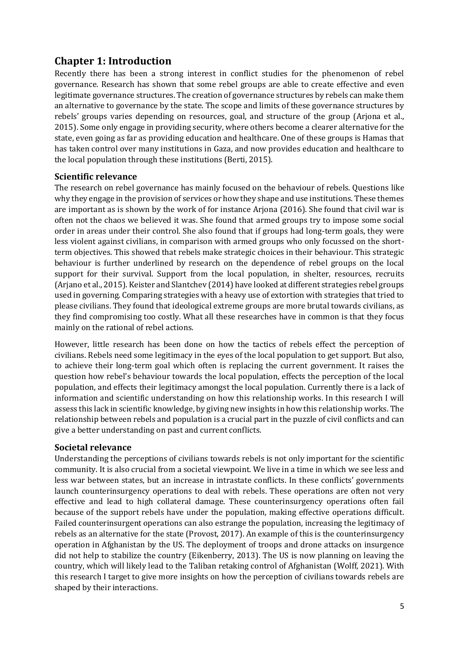### <span id="page-4-0"></span>**Chapter 1: Introduction**

Recently there has been a strong interest in conflict studies for the phenomenon of rebel governance. Research has shown that some rebel groups are able to create effective and even legitimate governance structures. The creation of governance structures by rebels can make them an alternative to governance by the state. The scope and limits of these governance structures by rebels' groups varies depending on resources, goal, and structure of the group (Arjona et al., 2015). Some only engage in providing security, where others become a clearer alternative for the state, even going as far as providing education and healthcare. One of these groups is Hamas that has taken control over many institutions in Gaza, and now provides education and healthcare to the local population through these institutions (Berti, 2015).

### <span id="page-4-1"></span>**Scientific relevance**

The research on rebel governance has mainly focused on the behaviour of rebels. Questions like why they engage in the provision of services or how they shape and use institutions. These themes are important as is shown by the work of for instance Arjona (2016). She found that civil war is often not the chaos we believed it was. She found that armed groups try to impose some social order in areas under their control. She also found that if groups had long-term goals, they were less violent against civilians, in comparison with armed groups who only focussed on the shortterm objectives. This showed that rebels make strategic choices in their behaviour. This strategic behaviour is further underlined by research on the dependence of rebel groups on the local support for their survival. Support from the local population, in shelter, resources, recruits (Arjano et al., 2015). Keister and Slantchev (2014) have looked at different strategies rebel groups used in governing. Comparing strategies with a heavy use of extortion with strategies that tried to please civilians. They found that ideological extreme groups are more brutal towards civilians, as they find compromising too costly. What all these researches have in common is that they focus mainly on the rational of rebel actions.

However, little research has been done on how the tactics of rebels effect the perception of civilians. Rebels need some legitimacy in the eyes of the local population to get support. But also, to achieve their long-term goal which often is replacing the current government. It raises the question how rebel's behaviour towards the local population, effects the perception of the local population, and effects their legitimacy amongst the local population. Currently there is a lack of information and scientific understanding on how this relationship works. In this research I will assess this lack in scientific knowledge, by giving new insights in how this relationship works. The relationship between rebels and population is a crucial part in the puzzle of civil conflicts and can give a better understanding on past and current conflicts.

### <span id="page-4-2"></span>**Societal relevance**

Understanding the perceptions of civilians towards rebels is not only important for the scientific community. It is also crucial from a societal viewpoint. We live in a time in which we see less and less war between states, but an increase in intrastate conflicts. In these conflicts' governments launch counterinsurgency operations to deal with rebels. These operations are often not very effective and lead to high collateral damage. These counterinsurgency operations often fail because of the support rebels have under the population, making effective operations difficult. Failed counterinsurgent operations can also estrange the population, increasing the legitimacy of rebels as an alternative for the state (Provost, 2017). An example of this is the counterinsurgency operation in Afghanistan by the US. The deployment of troops and drone attacks on insurgence did not help to stabilize the country (Eikenberry, 2013). The US is now planning on leaving the country, which will likely lead to the Taliban retaking control of Afghanistan (Wolff, 2021). With this research I target to give more insights on how the perception of civilians towards rebels are shaped by their interactions.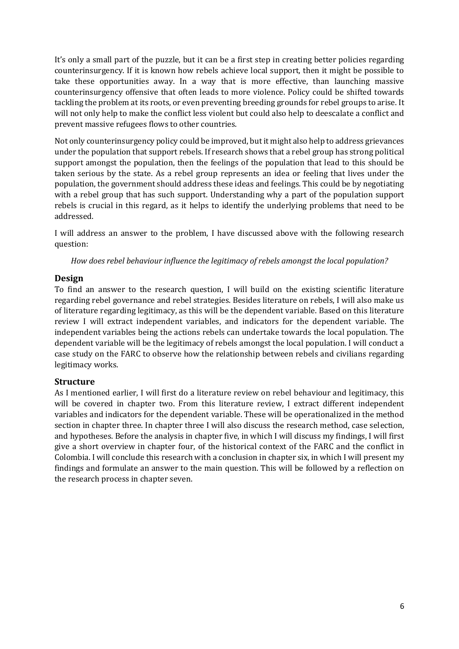It's only a small part of the puzzle, but it can be a first step in creating better policies regarding counterinsurgency. If it is known how rebels achieve local support, then it might be possible to take these opportunities away. In a way that is more effective, than launching massive counterinsurgency offensive that often leads to more violence. Policy could be shifted towards tackling the problem at its roots, or even preventing breeding grounds for rebel groups to arise. It will not only help to make the conflict less violent but could also help to deescalate a conflict and prevent massive refugees flows to other countries.

Not only counterinsurgency policy could be improved, but it might also help to address grievances under the population that support rebels. If research shows that a rebel group has strong political support amongst the population, then the feelings of the population that lead to this should be taken serious by the state. As a rebel group represents an idea or feeling that lives under the population, the government should address these ideas and feelings. This could be by negotiating with a rebel group that has such support. Understanding why a part of the population support rebels is crucial in this regard, as it helps to identify the underlying problems that need to be addressed.

I will address an answer to the problem, I have discussed above with the following research question:

*How does rebel behaviour influence the legitimacy of rebels amongst the local population?*

### <span id="page-5-0"></span>**Design**

To find an answer to the research question, I will build on the existing scientific literature regarding rebel governance and rebel strategies. Besides literature on rebels, I will also make us of literature regarding legitimacy, as this will be the dependent variable. Based on this literature review I will extract independent variables, and indicators for the dependent variable. The independent variables being the actions rebels can undertake towards the local population. The dependent variable will be the legitimacy of rebels amongst the local population. I will conduct a case study on the FARC to observe how the relationship between rebels and civilians regarding legitimacy works.

### <span id="page-5-1"></span>**Structure**

As I mentioned earlier, I will first do a literature review on rebel behaviour and legitimacy, this will be covered in chapter two. From this literature review, I extract different independent variables and indicators for the dependent variable. These will be operationalized in the method section in chapter three. In chapter three I will also discuss the research method, case selection, and hypotheses. Before the analysis in chapter five, in which I will discuss my findings, I will first give a short overview in chapter four, of the historical context of the FARC and the conflict in Colombia. I will conclude this research with a conclusion in chapter six, in which I will present my findings and formulate an answer to the main question. This will be followed by a reflection on the research process in chapter seven.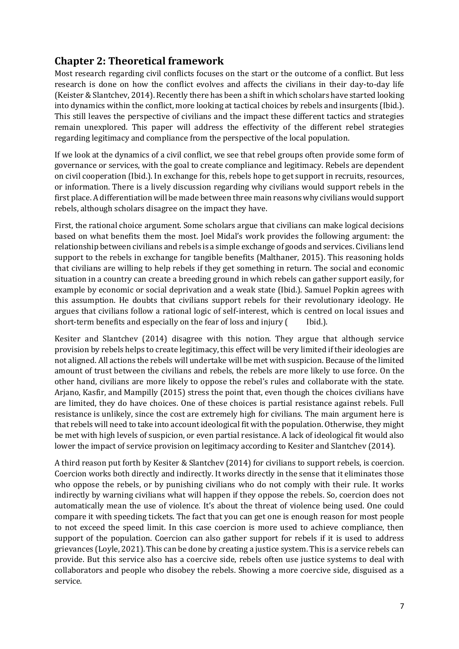### <span id="page-6-0"></span>**Chapter 2: Theoretical framework**

Most research regarding civil conflicts focuses on the start or the outcome of a conflict. But less research is done on how the conflict evolves and affects the civilians in their day-to-day life (Keister & Slantchev, 2014). Recently there has been a shift in which scholars have started looking into dynamics within the conflict, more looking at tactical choices by rebels and insurgents (Ibid.). This still leaves the perspective of civilians and the impact these different tactics and strategies remain unexplored. This paper will address the effectivity of the different rebel strategies regarding legitimacy and compliance from the perspective of the local population.

If we look at the dynamics of a civil conflict, we see that rebel groups often provide some form of governance or services, with the goal to create compliance and legitimacy. Rebels are dependent on civil cooperation (Ibid.). In exchange for this, rebels hope to get support in recruits, resources, or information. There is a lively discussion regarding why civilians would support rebels in the first place. A differentiation will be made between three main reasons why civilians would support rebels, although scholars disagree on the impact they have.

First, the rational choice argument. Some scholars argue that civilians can make logical decisions based on what benefits them the most. Joel Midal's work provides the following argument: the relationship between civilians and rebels is a simple exchange of goods and services. Civilians lend support to the rebels in exchange for tangible benefits (Malthaner, 2015). This reasoning holds that civilians are willing to help rebels if they get something in return. The social and economic situation in a country can create a breeding ground in which rebels can gather support easily, for example by economic or social deprivation and a weak state (Ibid.). Samuel Popkin agrees with this assumption. He doubts that civilians support rebels for their revolutionary ideology. He argues that civilians follow a rational logic of self-interest, which is centred on local issues and short-term benefits and especially on the fear of loss and injury (Ibid.).

Kesiter and Slantchev (2014) disagree with this notion. They argue that although service provision by rebels helps to create legitimacy, this effect will be very limited if their ideologies are not aligned. All actions the rebels will undertake will be met with suspicion. Because of the limited amount of trust between the civilians and rebels, the rebels are more likely to use force. On the other hand, civilians are more likely to oppose the rebel's rules and collaborate with the state. Arjano, Kasfir, and Mampilly (2015) stress the point that, even though the choices civilians have are limited, they do have choices. One of these choices is partial resistance against rebels. Full resistance is unlikely, since the cost are extremely high for civilians. The main argument here is that rebels will need to take into account ideological fit with the population. Otherwise, they might be met with high levels of suspicion, or even partial resistance. A lack of ideological fit would also lower the impact of service provision on legitimacy according to Kesiter and Slantchev (2014).

A third reason put forth by Kesiter & Slantchev (2014) for civilians to support rebels, is coercion. Coercion works both directly and indirectly. It works directly in the sense that it eliminates those who oppose the rebels, or by punishing civilians who do not comply with their rule. It works indirectly by warning civilians what will happen if they oppose the rebels. So, coercion does not automatically mean the use of violence. It's about the threat of violence being used. One could compare it with speeding tickets. The fact that you can get one is enough reason for most people to not exceed the speed limit. In this case coercion is more used to achieve compliance, then support of the population. Coercion can also gather support for rebels if it is used to address grievances (Loyle, 2021). This can be done by creating a justice system. This is a service rebels can provide. But this service also has a coercive side, rebels often use justice systems to deal with collaborators and people who disobey the rebels. Showing a more coercive side, disguised as a service.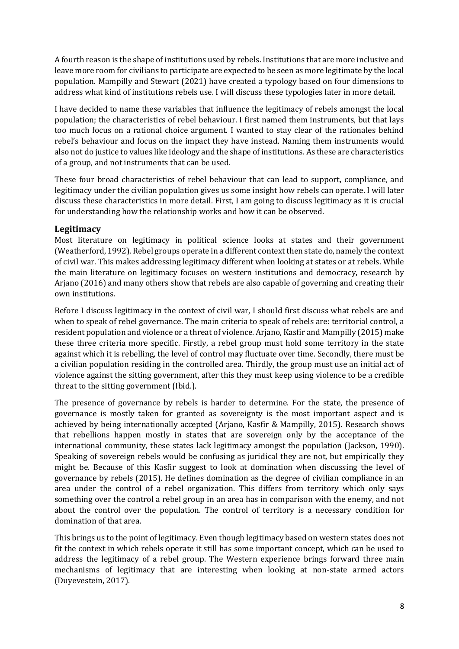A fourth reason is the shape of institutions used by rebels. Institutions that are more inclusive and leave more room for civilians to participate are expected to be seen as more legitimate by the local population. Mampilly and Stewart (2021) have created a typology based on four dimensions to address what kind of institutions rebels use. I will discuss these typologies later in more detail.

I have decided to name these variables that influence the legitimacy of rebels amongst the local population; the characteristics of rebel behaviour. I first named them instruments, but that lays too much focus on a rational choice argument. I wanted to stay clear of the rationales behind rebel's behaviour and focus on the impact they have instead. Naming them instruments would also not do justice to values like ideology and the shape of institutions. As these are characteristics of a group, and not instruments that can be used.

These four broad characteristics of rebel behaviour that can lead to support, compliance, and legitimacy under the civilian population gives us some insight how rebels can operate. I will later discuss these characteristics in more detail. First, I am going to discuss legitimacy as it is crucial for understanding how the relationship works and how it can be observed.

### <span id="page-7-0"></span>**Legitimacy**

Most literature on legitimacy in political science looks at states and their government (Weatherford, 1992). Rebel groups operate in a different context then state do, namely the context of civil war. This makes addressing legitimacy different when looking at states or at rebels. While the main literature on legitimacy focuses on western institutions and democracy, research by Arjano (2016) and many others show that rebels are also capable of governing and creating their own institutions.

Before I discuss legitimacy in the context of civil war, I should first discuss what rebels are and when to speak of rebel governance. The main criteria to speak of rebels are: territorial control, a resident population and violence or a threat of violence. Arjano, Kasfir and Mampilly (2015) make these three criteria more specific. Firstly, a rebel group must hold some territory in the state against which it is rebelling, the level of control may fluctuate over time. Secondly, there must be a civilian population residing in the controlled area. Thirdly, the group must use an initial act of violence against the sitting government, after this they must keep using violence to be a credible threat to the sitting government (Ibid.).

The presence of governance by rebels is harder to determine. For the state, the presence of governance is mostly taken for granted as sovereignty is the most important aspect and is achieved by being internationally accepted (Arjano, Kasfir & Mampilly, 2015). Research shows that rebellions happen mostly in states that are sovereign only by the acceptance of the international community, these states lack legitimacy amongst the population (Jackson, 1990). Speaking of sovereign rebels would be confusing as juridical they are not, but empirically they might be. Because of this Kasfir suggest to look at domination when discussing the level of governance by rebels (2015). He defines domination as the degree of civilian compliance in an area under the control of a rebel organization. This differs from territory which only says something over the control a rebel group in an area has in comparison with the enemy, and not about the control over the population. The control of territory is a necessary condition for domination of that area.

This brings us to the point of legitimacy. Even though legitimacy based on western states does not fit the context in which rebels operate it still has some important concept, which can be used to address the legitimacy of a rebel group. The Western experience brings forward three main mechanisms of legitimacy that are interesting when looking at non-state armed actors (Duyevestein, 2017).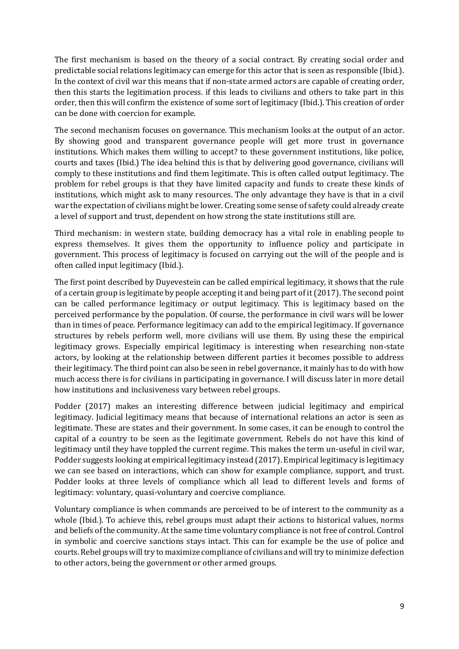The first mechanism is based on the theory of a social contract. By creating social order and predictable social relations legitimacy can emerge for this actor that is seen as responsible (Ibid.). In the context of civil war this means that if non-state armed actors are capable of creating order, then this starts the legitimation process. if this leads to civilians and others to take part in this order, then this will confirm the existence of some sort of legitimacy (Ibid.). This creation of order can be done with coercion for example.

The second mechanism focuses on governance. This mechanism looks at the output of an actor. By showing good and transparent governance people will get more trust in governance institutions. Which makes them willing to accept? to these government institutions, like police, courts and taxes (Ibid.) The idea behind this is that by delivering good governance, civilians will comply to these institutions and find them legitimate. This is often called output legitimacy. The problem for rebel groups is that they have limited capacity and funds to create these kinds of institutions, which might ask to many resources. The only advantage they have is that in a civil war the expectation of civilians might be lower. Creating some sense of safety could already create a level of support and trust, dependent on how strong the state institutions still are.

Third mechanism: in western state, building democracy has a vital role in enabling people to express themselves. It gives them the opportunity to influence policy and participate in government. This process of legitimacy is focused on carrying out the will of the people and is often called input legitimacy (Ibid.).

The first point described by Duyevestein can be called empirical legitimacy, it shows that the rule of a certain group is legitimate by people accepting it and being part of it (2017). The second point can be called performance legitimacy or output legitimacy. This is legitimacy based on the perceived performance by the population. Of course, the performance in civil wars will be lower than in times of peace. Performance legitimacy can add to the empirical legitimacy. If governance structures by rebels perform well, more civilians will use them. By using these the empirical legitimacy grows. Especially empirical legitimacy is interesting when researching non-state actors, by looking at the relationship between different parties it becomes possible to address their legitimacy. The third point can also be seen in rebel governance, it mainly has to do with how much access there is for civilians in participating in governance. I will discuss later in more detail how institutions and inclusiveness vary between rebel groups.

Podder (2017) makes an interesting difference between judicial legitimacy and empirical legitimacy. Judicial legitimacy means that because of international relations an actor is seen as legitimate. These are states and their government. In some cases, it can be enough to control the capital of a country to be seen as the legitimate government. Rebels do not have this kind of legitimacy until they have toppled the current regime. This makes the term un-useful in civil war, Podder suggests looking at empirical legitimacy instead (2017). Empirical legitimacy is legitimacy we can see based on interactions, which can show for example compliance, support, and trust. Podder looks at three levels of compliance which all lead to different levels and forms of legitimacy: voluntary, quasi-voluntary and coercive compliance.

Voluntary compliance is when commands are perceived to be of interest to the community as a whole (Ibid.). To achieve this, rebel groups must adapt their actions to historical values, norms and beliefs of the community. At the same time voluntary compliance is not free of control. Control in symbolic and coercive sanctions stays intact. This can for example be the use of police and courts. Rebel groups will try to maximize compliance of civilians and will try to minimize defection to other actors, being the government or other armed groups.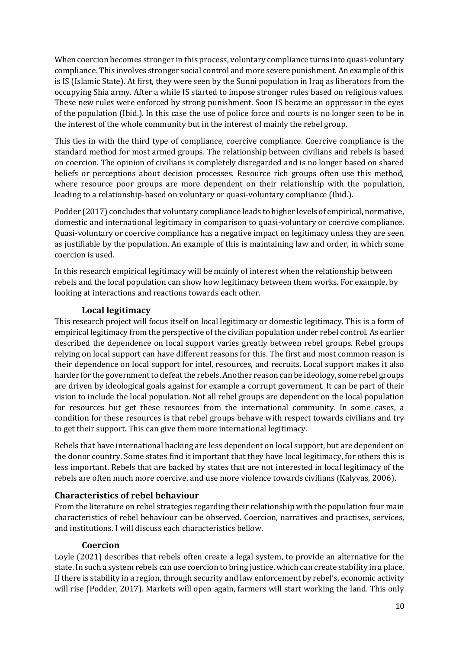When coercion becomes stronger in this process, voluntary compliance turns into quasi-voluntary compliance. This involves stronger social control and more severe punishment. An example of this is IS (Islamic State). At first, they were seen by the Sunni population in Iraq as liberators from the occupying Shia army. After a while IS started to impose stronger rules based on religious values. These new rules were enforced by strong punishment. Soon IS became an oppressor in the eyes of the population (Ibid.). In this case the use of police force and courts is no longer seen to be in the interest of the whole community but in the interest of mainly the rebel group.

This ties in with the third type of compliance, coercive compliance. Coercive compliance is the standard method for most armed groups. The relationship between civilians and rebels is based on coercion. The opinion of civilians is completely disregarded and is no longer based on shared beliefs or perceptions about decision processes. Resource rich groups often use this method, where resource poor groups are more dependent on their relationship with the population, leading to a relationship-based on voluntary or quasi-voluntary compliance (Ibid.).

Podder (2017) concludes that voluntary compliance leads to higher levels of empirical, normative, domestic and international legitimacy in comparison to quasi-voluntary or coercive compliance. Quasi-voluntary or coercive compliance has a negative impact on legitimacy unless they are seen as justifiable by the population. An example of this is maintaining law and order, in which some coercion is used.

In this research empirical legitimacy will be mainly of interest when the relationship between rebels and the local population can show how legitimacy between them works. For example, by looking at interactions and reactions towards each other.

### **Local legitimacy**

<span id="page-9-0"></span>This research project will focus itself on local legitimacy or domestic legitimacy. This is a form of empirical legitimacy from the perspective of the civilian population under rebel control. As earlier described the dependence on local support varies greatly between rebel groups. Rebel groups relying on local support can have different reasons for this. The first and most common reason is their dependence on local support for intel, resources, and recruits. Local support makes it also harder for the government to defeat the rebels. Another reason can be ideology, some rebel groups are driven by ideological goals against for example a corrupt government. It can be part of their vision to include the local population. Not all rebel groups are dependent on the local population for resources but get these resources from the international community. In some cases, a condition for these resources is that rebel groups behave with respect towards civilians and try to get their support. This can give them more international legitimacy.

Rebels that have international backing are less dependent on local support, but are dependent on the donor country. Some states find it important that they have local legitimacy, for others this is less important. Rebels that are backed by states that are not interested in local legitimacy of the rebels are often much more coercive, and use more violence towards civilians (Kalyvas, 2006).

### <span id="page-9-1"></span>**Characteristics of rebel behaviour**

From the literature on rebel strategies regarding their relationship with the population four main characteristics of rebel behaviour can be observed. Coercion, narratives and practises, services, and institutions. I will discuss each characteristics bellow.

### **Coercion**

<span id="page-9-2"></span>Loyle (2021) describes that rebels often create a legal system, to provide an alternative for the state. In such a system rebels can use coercion to bring justice, which can create stability in a place. If there is stability in a region, through security and law enforcement by rebel's, economic activity will rise (Podder, 2017). Markets will open again, farmers will start working the land. This only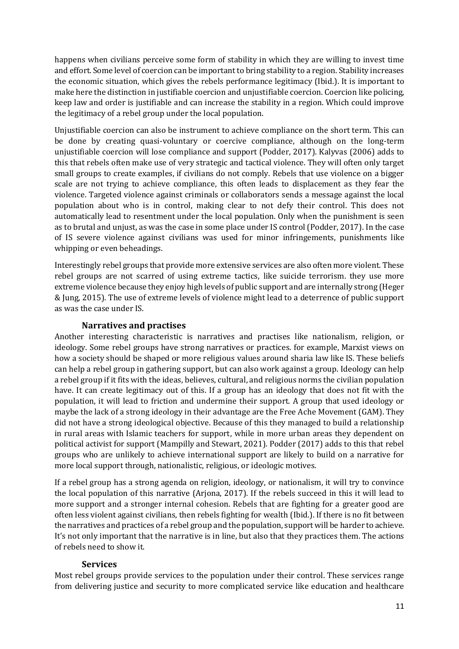happens when civilians perceive some form of stability in which they are willing to invest time and effort. Some level of coercion can be important to bring stability to a region. Stability increases the economic situation, which gives the rebels performance legitimacy (Ibid.). It is important to make here the distinction in justifiable coercion and unjustifiable coercion. Coercion like policing, keep law and order is justifiable and can increase the stability in a region. Which could improve the legitimacy of a rebel group under the local population.

Unjustifiable coercion can also be instrument to achieve compliance on the short term. This can be done by creating quasi-voluntary or coercive compliance, although on the long-term unjustifiable coercion will lose compliance and support (Podder, 2017). Kalyvas (2006) adds to this that rebels often make use of very strategic and tactical violence. They will often only target small groups to create examples, if civilians do not comply. Rebels that use violence on a bigger scale are not trying to achieve compliance, this often leads to displacement as they fear the violence. Targeted violence against criminals or collaborators sends a message against the local population about who is in control, making clear to not defy their control. This does not automatically lead to resentment under the local population. Only when the punishment is seen as to brutal and unjust, as was the case in some place under IS control (Podder, 2017). In the case of IS severe violence against civilians was used for minor infringements, punishments like whipping or even beheadings.

Interestingly rebel groups that provide more extensive services are also often more violent. These rebel groups are not scarred of using extreme tactics, like suicide terrorism. they use more extreme violence because they enjoy high levels of public support and are internally strong (Heger & Jung, 2015). The use of extreme levels of violence might lead to a deterrence of public support as was the case under IS.

### **Narratives and practises**

<span id="page-10-0"></span>Another interesting characteristic is narratives and practises like nationalism, religion, or ideology. Some rebel groups have strong narratives or practices. for example, Marxist views on how a society should be shaped or more religious values around sharia law like IS. These beliefs can help a rebel group in gathering support, but can also work against a group. Ideology can help a rebel group if it fits with the ideas, believes, cultural, and religious norms the civilian population have. It can create legitimacy out of this. If a group has an ideology that does not fit with the population, it will lead to friction and undermine their support. A group that used ideology or maybe the lack of a strong ideology in their advantage are the Free Ache Movement (GAM). They did not have a strong ideological objective. Because of this they managed to build a relationship in rural areas with Islamic teachers for support, while in more urban areas they dependent on political activist for support (Mampilly and Stewart, 2021). Podder (2017) adds to this that rebel groups who are unlikely to achieve international support are likely to build on a narrative for more local support through, nationalistic, religious, or ideologic motives.

If a rebel group has a strong agenda on religion, ideology, or nationalism, it will try to convince the local population of this narrative (Arjona, 2017). If the rebels succeed in this it will lead to more support and a stronger internal cohesion. Rebels that are fighting for a greater good are often less violent against civilians, then rebels fighting for wealth (Ibid.). If there is no fit between the narratives and practices of a rebel group and the population, support will be harder to achieve. It's not only important that the narrative is in line, but also that they practices them. The actions of rebels need to show it.

#### **Services**

<span id="page-10-1"></span>Most rebel groups provide services to the population under their control. These services range from delivering justice and security to more complicated service like education and healthcare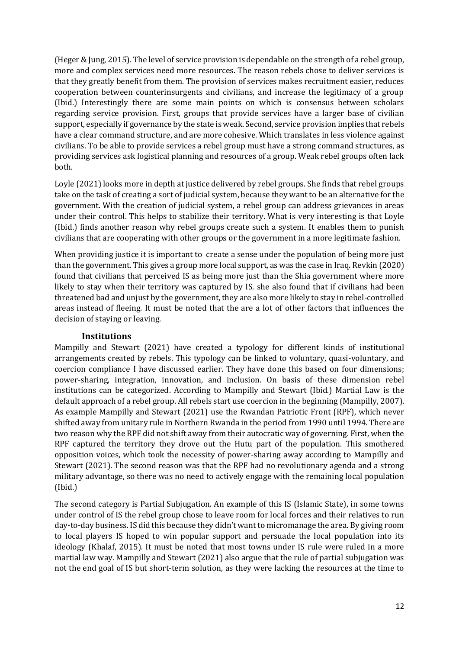(Heger & Jung, 2015). The level of service provision is dependable on the strength of a rebel group, more and complex services need more resources. The reason rebels chose to deliver services is that they greatly benefit from them. The provision of services makes recruitment easier, reduces cooperation between counterinsurgents and civilians, and increase the legitimacy of a group (Ibid.) Interestingly there are some main points on which is consensus between scholars regarding service provision. First, groups that provide services have a larger base of civilian support, especially if governance by the state is weak. Second, service provision implies that rebels have a clear command structure, and are more cohesive. Which translates in less violence against civilians. To be able to provide services a rebel group must have a strong command structures, as providing services ask logistical planning and resources of a group. Weak rebel groups often lack both.

Loyle (2021) looks more in depth at justice delivered by rebel groups. She finds that rebel groups take on the task of creating a sort of judicial system, because they want to be an alternative for the government. With the creation of judicial system, a rebel group can address grievances in areas under their control. This helps to stabilize their territory. What is very interesting is that Loyle (Ibid.) finds another reason why rebel groups create such a system. It enables them to punish civilians that are cooperating with other groups or the government in a more legitimate fashion.

When providing justice it is important to create a sense under the population of being more just than the government. This gives a group more local support, as was the case in Iraq. Revkin (2020) found that civilians that perceived IS as being more just than the Shia government where more likely to stay when their territory was captured by IS. she also found that if civilians had been threatened bad and unjust by the government, they are also more likely to stay in rebel-controlled areas instead of fleeing. It must be noted that the are a lot of other factors that influences the decision of staying or leaving.

### **Institutions**

<span id="page-11-0"></span>Mampilly and Stewart (2021) have created a typology for different kinds of institutional arrangements created by rebels. This typology can be linked to voluntary, quasi-voluntary, and coercion compliance I have discussed earlier. They have done this based on four dimensions; power-sharing, integration, innovation, and inclusion. On basis of these dimension rebel institutions can be categorized. According to Mampilly and Stewart (Ibid.) Martial Law is the default approach of a rebel group. All rebels start use coercion in the beginning (Mampilly, 2007). As example Mampilly and Stewart (2021) use the Rwandan Patriotic Front (RPF), which never shifted away from unitary rule in Northern Rwanda in the period from 1990 until 1994. There are two reason why the RPF did not shift away from their autocratic way of governing. First, when the RPF captured the territory they drove out the Hutu part of the population. This smothered opposition voices, which took the necessity of power-sharing away according to Mampilly and Stewart (2021). The second reason was that the RPF had no revolutionary agenda and a strong military advantage, so there was no need to actively engage with the remaining local population (Ibid.)

The second category is Partial Subjugation. An example of this IS (Islamic State), in some towns under control of IS the rebel group chose to leave room for local forces and their relatives to run day-to-day business. IS did this because they didn't want to micromanage the area. By giving room to local players IS hoped to win popular support and persuade the local population into its ideology (Khalaf, 2015). It must be noted that most towns under IS rule were ruled in a more martial law way. Mampilly and Stewart (2021) also argue that the rule of partial subjugation was not the end goal of IS but short-term solution, as they were lacking the resources at the time to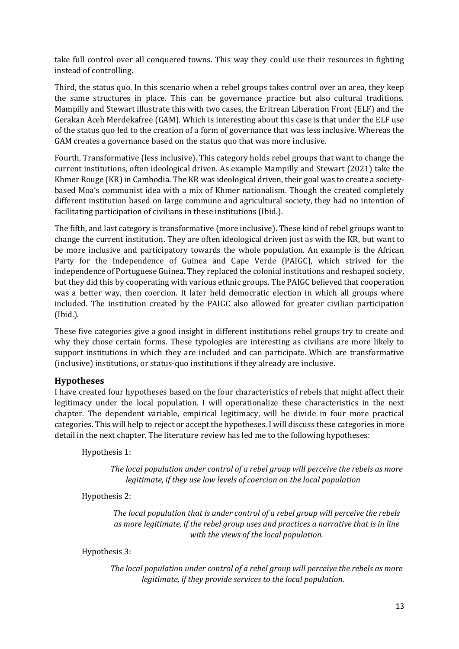take full control over all conquered towns. This way they could use their resources in fighting instead of controlling.

Third, the status quo. In this scenario when a rebel groups takes control over an area, they keep the same structures in place. This can be governance practice but also cultural traditions. Mampilly and Stewart illustrate this with two cases, the Eritrean Liberation Front (ELF) and the Gerakan Aceh Merdekafree (GAM). Which is interesting about this case is that under the ELF use of the status quo led to the creation of a form of governance that was less inclusive. Whereas the GAM creates a governance based on the status quo that was more inclusive.

Fourth, Transformative (less inclusive). This category holds rebel groups that want to change the current institutions, often ideological driven. As example Mampilly and Stewart (2021) take the Khmer Rouge (KR) in Cambodia. The KR was ideological driven, their goal was to create a societybased Moa's communist idea with a mix of Khmer nationalism. Though the created completely different institution based on large commune and agricultural society, they had no intention of facilitating participation of civilians in these institutions (Ibid.).

The fifth, and last category is transformative (more inclusive). These kind of rebel groups want to change the current institution. They are often ideological driven just as with the KR, but want to be more inclusive and participatory towards the whole population. An example is the African Party for the Independence of Guinea and Cape Verde (PAIGC), which strived for the independence of Portuguese Guinea. They replaced the colonial institutions and reshaped society, but they did this by cooperating with various ethnic groups. The PAIGC believed that cooperation was a better way, then coercion. It later held democratic election in which all groups where included. The institution created by the PAIGC also allowed for greater civilian participation (Ibid.).

These five categories give a good insight in different institutions rebel groups try to create and why they chose certain forms. These typologies are interesting as civilians are more likely to support institutions in which they are included and can participate. Which are transformative (inclusive) institutions, or status-quo institutions if they already are inclusive.

### <span id="page-12-0"></span>**Hypotheses**

I have created four hypotheses based on the four characteristics of rebels that might affect their legitimacy under the local population. I will operationalize these characteristics in the next chapter. The dependent variable, empirical legitimacy, will be divide in four more practical categories. This will help to reject or accept the hypotheses. I will discuss these categories in more detail in the next chapter. The literature review has led me to the following hypotheses:

Hypothesis 1:

*The local population under control of a rebel group will perceive the rebels as more legitimate, if they use low levels of coercion on the local population*

Hypothesis 2:

*The local population that is under control of a rebel group will perceive the rebels as more legitimate, if the rebel group uses and practices a narrative that is in line with the views of the local population.*

### Hypothesis 3:

*The local population under control of a rebel group will perceive the rebels as more legitimate, if they provide services to the local population.*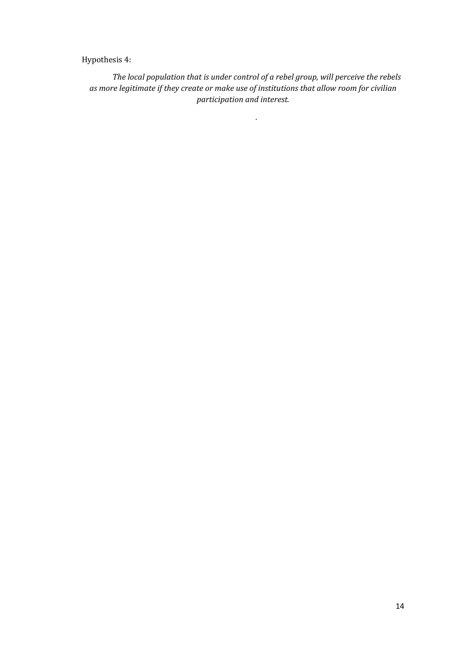### Hypothesis 4:

*The local population that is under control of a rebel group, will perceive the rebels as more legitimate if they create or make use of institutions that allow room for civilian participation and interest.*

> *.* $\hat{\mathcal{L}}$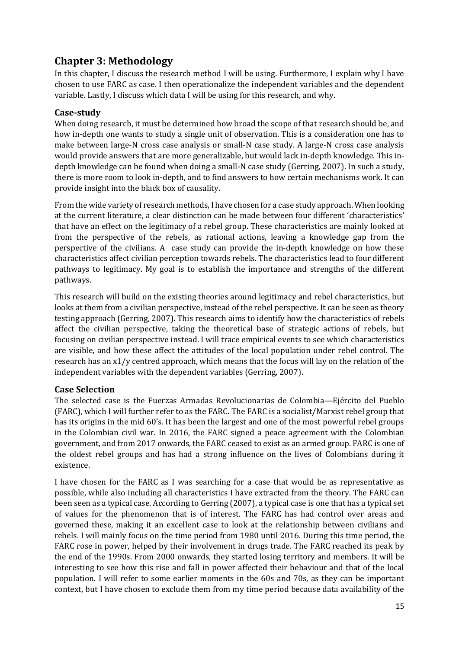### <span id="page-14-0"></span>**Chapter 3: Methodology**

In this chapter, I discuss the research method I will be using. Furthermore, I explain why I have chosen to use FARC as case. I then operationalize the independent variables and the dependent variable. Lastly, I discuss which data I will be using for this research, and why.

### <span id="page-14-1"></span>**Case-study**

When doing research, it must be determined how broad the scope of that research should be, and how in-depth one wants to study a single unit of observation. This is a consideration one has to make between large-N cross case analysis or small-N case study. A large-N cross case analysis would provide answers that are more generalizable, but would lack in-depth knowledge. This indepth knowledge can be found when doing a small-N case study (Gerring, 2007). In such a study, there is more room to look in-depth, and to find answers to how certain mechanisms work. It can provide insight into the black box of causality.

From the wide variety of research methods, I have chosen for a case study approach. When looking at the current literature, a clear distinction can be made between four different 'characteristics' that have an effect on the legitimacy of a rebel group. These characteristics are mainly looked at from the perspective of the rebels, as rational actions, leaving a knowledge gap from the perspective of the civilians. A case study can provide the in-depth knowledge on how these characteristics affect civilian perception towards rebels. The characteristics lead to four different pathways to legitimacy. My goal is to establish the importance and strengths of the different pathways.

This research will build on the existing theories around legitimacy and rebel characteristics, but looks at them from a civilian perspective, instead of the rebel perspective. It can be seen as theory testing approach (Gerring, 2007). This research aims to identify how the characteristics of rebels affect the civilian perspective, taking the theoretical base of strategic actions of rebels, but focusing on civilian perspective instead. I will trace empirical events to see which characteristics are visible, and how these affect the attitudes of the local population under rebel control. The research has an x1/y centred approach, which means that the focus will lay on the relation of the independent variables with the dependent variables (Gerring, 2007).

### <span id="page-14-2"></span>**Case Selection**

The selected case is the Fuerzas Armadas Revolucionarias de Colombia—Ejército del Pueblo (FARC), which I will further refer to as the FARC. The FARC is a socialist/Marxist rebel group that has its origins in the mid 60's. It has been the largest and one of the most powerful rebel groups in the Colombian civil war. In 2016, the FARC signed a peace agreement with the Colombian government, and from 2017 onwards, the FARC ceased to exist as an armed group. FARC is one of the oldest rebel groups and has had a strong influence on the lives of Colombians during it existence.

I have chosen for the FARC as I was searching for a case that would be as representative as possible, while also including all characteristics I have extracted from the theory. The FARC can been seen as a typical case. According to Gerring (2007), a typical case is one that has a typical set of values for the phenomenon that is of interest. The FARC has had control over areas and governed these, making it an excellent case to look at the relationship between civilians and rebels. I will mainly focus on the time period from 1980 until 2016. During this time period, the FARC rose in power, helped by their involvement in drugs trade. The FARC reached its peak by the end of the 1990s. From 2000 onwards, they started losing territory and members. It will be interesting to see how this rise and fall in power affected their behaviour and that of the local population. I will refer to some earlier moments in the 60s and 70s, as they can be important context, but I have chosen to exclude them from my time period because data availability of the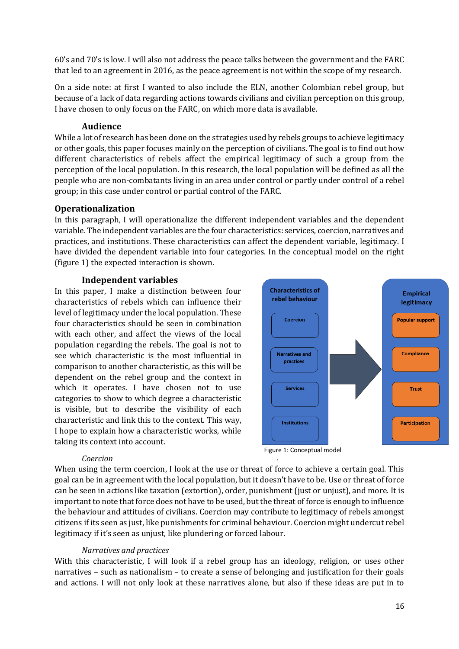60's and 70's is low. I will also not address the peace talks between the government and the FARC that led to an agreement in 2016, as the peace agreement is not within the scope of my research.

On a side note: at first I wanted to also include the ELN, another Colombian rebel group, but because of a lack of data regarding actions towards civilians and civilian perception on this group, I have chosen to only focus on the FARC, on which more data is available.

### **Audience**

<span id="page-15-0"></span>While a lot of research has been done on the strategies used by rebels groups to achieve legitimacy or other goals, this paper focuses mainly on the perception of civilians. The goal is to find out how different characteristics of rebels affect the empirical legitimacy of such a group from the perception of the local population. In this research, the local population will be defined as all the people who are non-combatants living in an area under control or partly under control of a rebel group; in this case under control or partial control of the FARC.

### <span id="page-15-1"></span>**Operationalization**

In this paragraph, I will operationalize the different independent variables and the dependent variable. The independent variables are the four characteristics: services, coercion, narratives and practices, and institutions. These characteristics can affect the dependent variable, legitimacy. I have divided the dependent variable into four categories. In the conceptual model on the right (figure 1) the expected interaction is shown.

### <span id="page-15-2"></span>**Independent variables**

In this paper, I make a distinction between four characteristics of rebels which can influence their level of legitimacy under the local population. These four characteristics should be seen in combination with each other, and affect the views of the local population regarding the rebels. The goal is not to see which characteristic is the most influential in comparison to another characteristic, as this will be dependent on the rebel group and the context in which it operates. I have chosen not to use categories to show to which degree a characteristic is visible, but to describe the visibility of each characteristic and link this to the context. This way, I hope to explain how a characteristic works, while taking its context into account.



#### *Coercion*

<span id="page-15-3"></span>When using the term coercion, I look at the use or threat of force to achieve a certain goal. This goal can be in agreement with the local population, but it doesn't have to be. Use or threat of force can be seen in actions like taxation (extortion), order, punishment (just or unjust), and more. It is important to note that force does not have to be used, but the threat of force is enough to influence the behaviour and attitudes of civilians. Coercion may contribute to legitimacy of rebels amongst citizens if its seen as just, like punishments for criminal behaviour. Coercion might undercut rebel legitimacy if it's seen as unjust, like plundering or forced labour.

### *Narratives and practices*

<span id="page-15-4"></span>With this characteristic, I will look if a rebel group has an ideology, religion, or uses other narratives – such as nationalism – to create a sense of belonging and justification for their goals and actions. I will not only look at these narratives alone, but also if these ideas are put in to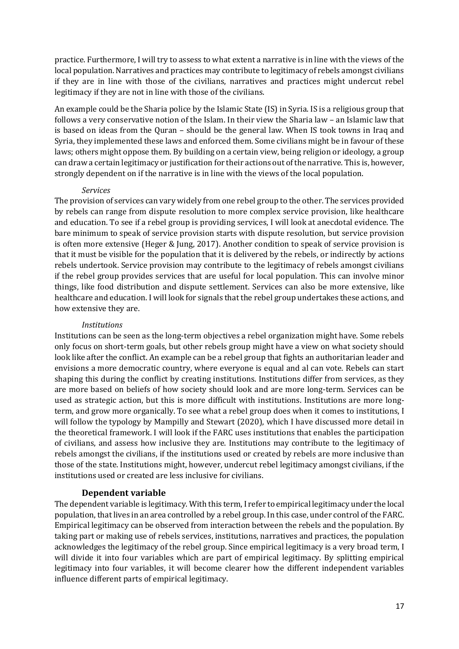practice. Furthermore, I will try to assess to what extent a narrative is in line with the views of the local population. Narratives and practices may contribute to legitimacy of rebels amongst civilians if they are in line with those of the civilians, narratives and practices might undercut rebel legitimacy if they are not in line with those of the civilians.

An example could be the Sharia police by the Islamic State (IS) in Syria. IS is a religious group that follows a very conservative notion of the Islam. In their view the Sharia law – an Islamic law that is based on ideas from the Quran – should be the general law. When IS took towns in Iraq and Syria, they implemented these laws and enforced them. Some civilians might be in favour of these laws; others might oppose them. By building on a certain view, being religion or ideology, a group can draw a certain legitimacy or justification for their actions out of the narrative. This is, however, strongly dependent on if the narrative is in line with the views of the local population.

#### *Services*

<span id="page-16-0"></span>The provision of services can vary widely from one rebel group to the other. The services provided by rebels can range from dispute resolution to more complex service provision, like healthcare and education. To see if a rebel group is providing services, I will look at anecdotal evidence. The bare minimum to speak of service provision starts with dispute resolution, but service provision is often more extensive (Heger & Jung, 2017). Another condition to speak of service provision is that it must be visible for the population that it is delivered by the rebels, or indirectly by actions rebels undertook. Service provision may contribute to the legitimacy of rebels amongst civilians if the rebel group provides services that are useful for local population. This can involve minor things, like food distribution and dispute settlement. Services can also be more extensive, like healthcare and education. I will look for signals that the rebel group undertakes these actions, and how extensive they are.

### *Institutions*

<span id="page-16-1"></span>Institutions can be seen as the long-term objectives a rebel organization might have. Some rebels only focus on short-term goals, but other rebels group might have a view on what society should look like after the conflict. An example can be a rebel group that fights an authoritarian leader and envisions a more democratic country, where everyone is equal and al can vote. Rebels can start shaping this during the conflict by creating institutions. Institutions differ from services, as they are more based on beliefs of how society should look and are more long-term. Services can be used as strategic action, but this is more difficult with institutions. Institutions are more longterm, and grow more organically. To see what a rebel group does when it comes to institutions, I will follow the typology by Mampilly and Stewart (2020), which I have discussed more detail in the theoretical framework. I will look if the FARC uses institutions that enables the participation of civilians, and assess how inclusive they are. Institutions may contribute to the legitimacy of rebels amongst the civilians, if the institutions used or created by rebels are more inclusive than those of the state. Institutions might, however, undercut rebel legitimacy amongst civilians, if the institutions used or created are less inclusive for civilians.

### **Dependent variable**

<span id="page-16-2"></span>The dependent variable is legitimacy. With this term,I refer to empirical legitimacy under the local population, that lives in an area controlled by a rebel group. In this case, under control of the FARC. Empirical legitimacy can be observed from interaction between the rebels and the population. By taking part or making use of rebels services, institutions, narratives and practices, the population acknowledges the legitimacy of the rebel group. Since empirical legitimacy is a very broad term, I will divide it into four variables which are part of empirical legitimacy. By splitting empirical legitimacy into four variables, it will become clearer how the different independent variables influence different parts of empirical legitimacy.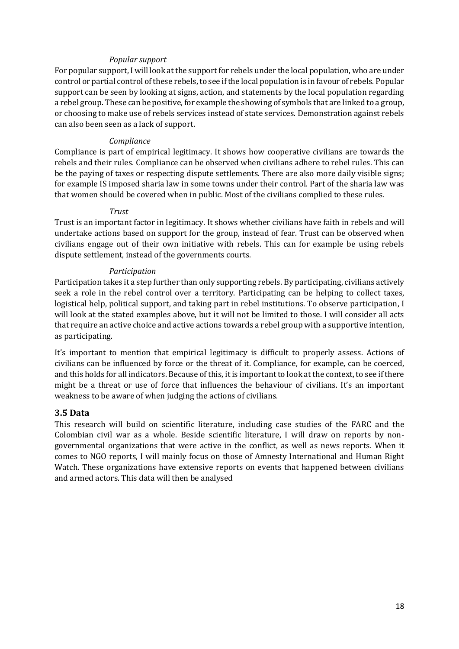#### <span id="page-17-0"></span>*Popular support*

For popular support, I will look at the support for rebels under the local population, who are under control or partial control of these rebels, to see if the local population is in favour of rebels. Popular support can be seen by looking at signs, action, and statements by the local population regarding a rebel group. These can be positive, for example the showing of symbols that are linked to a group, or choosing to make use of rebels services instead of state services. Demonstration against rebels can also been seen as a lack of support.

#### <span id="page-17-1"></span>*Compliance*

Compliance is part of empirical legitimacy. It shows how cooperative civilians are towards the rebels and their rules. Compliance can be observed when civilians adhere to rebel rules. This can be the paying of taxes or respecting dispute settlements. There are also more daily visible signs; for example IS imposed sharia law in some towns under their control. Part of the sharia law was that women should be covered when in public. Most of the civilians complied to these rules.

#### *Trust*

<span id="page-17-2"></span>Trust is an important factor in legitimacy. It shows whether civilians have faith in rebels and will undertake actions based on support for the group, instead of fear. Trust can be observed when civilians engage out of their own initiative with rebels. This can for example be using rebels dispute settlement, instead of the governments courts.

### <span id="page-17-3"></span>*Participation*

Participation takes it a step further than only supporting rebels. By participating, civilians actively seek a role in the rebel control over a territory. Participating can be helping to collect taxes, logistical help, political support, and taking part in rebel institutions. To observe participation, I will look at the stated examples above, but it will not be limited to those. I will consider all acts that require an active choice and active actions towards a rebel group with a supportive intention, as participating.

It's important to mention that empirical legitimacy is difficult to properly assess. Actions of civilians can be influenced by force or the threat of it. Compliance, for example, can be coerced, and this holds for all indicators. Because of this, it is important to look at the context, to see if there might be a threat or use of force that influences the behaviour of civilians. It's an important weakness to be aware of when judging the actions of civilians.

### <span id="page-17-4"></span>**3.5 Data**

This research will build on scientific literature, including case studies of the FARC and the Colombian civil war as a whole. Beside scientific literature, I will draw on reports by nongovernmental organizations that were active in the conflict, as well as news reports. When it comes to NGO reports, I will mainly focus on those of Amnesty International and Human Right Watch. These organizations have extensive reports on events that happened between civilians and armed actors. This data will then be analysed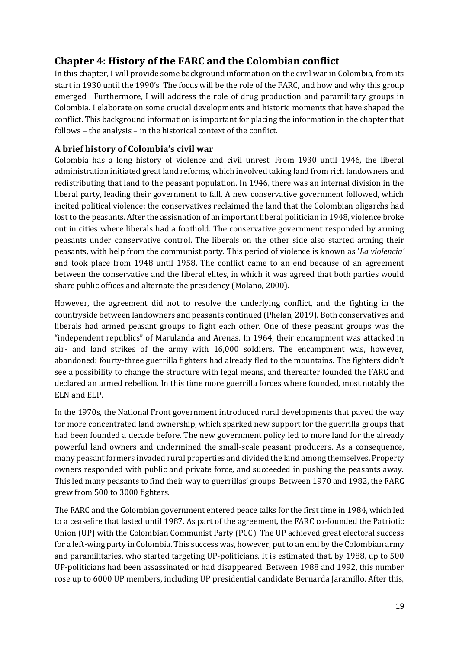### <span id="page-18-0"></span>**Chapter 4: History of the FARC and the Colombian conflict**

In this chapter, I will provide some background information on the civil war in Colombia, from its start in 1930 until the 1990's. The focus will be the role of the FARC, and how and why this group emerged. Furthermore, I will address the role of drug production and paramilitary groups in Colombia. I elaborate on some crucial developments and historic moments that have shaped the conflict. This background information is important for placing the information in the chapter that follows – the analysis – in the historical context of the conflict.

### <span id="page-18-1"></span>**A brief history of Colombia's civil war**

Colombia has a long history of violence and civil unrest. From 1930 until 1946, the liberal administration initiated great land reforms, which involved taking land from rich landowners and redistributing that land to the peasant population. In 1946, there was an internal division in the liberal party, leading their government to fall. A new conservative government followed, which incited political violence: the conservatives reclaimed the land that the Colombian oligarchs had lost to the peasants. After the assisnation of an important liberal politician in 1948, violence broke out in cities where liberals had a foothold. The conservative government responded by arming peasants under conservative control. The liberals on the other side also started arming their peasants, with help from the communist party. This period of violence is known as '*La violencia'* and took place from 1948 until 1958. The conflict came to an end because of an agreement between the conservative and the liberal elites, in which it was agreed that both parties would share public offices and alternate the presidency (Molano, 2000).

However, the agreement did not to resolve the underlying conflict, and the fighting in the countryside between landowners and peasants continued (Phelan, 2019). Both conservatives and liberals had armed peasant groups to fight each other. One of these peasant groups was the "independent republics" of Marulanda and Arenas. In 1964, their encampment was attacked in air- and land strikes of the army with 16,000 soldiers. The encampment was, however, abandoned: fourty-three guerrilla fighters had already fled to the mountains. The fighters didn't see a possibility to change the structure with legal means, and thereafter founded the FARC and declared an armed rebellion. In this time more guerrilla forces where founded, most notably the ELN and ELP.

In the 1970s, the National Front government introduced rural developments that paved the way for more concentrated land ownership, which sparked new support for the guerrilla groups that had been founded a decade before. The new government policy led to more land for the already powerful land owners and undermined the small-scale peasant producers. As a consequence, many peasant farmers invaded rural properties and divided the land among themselves. Property owners responded with public and private force, and succeeded in pushing the peasants away. This led many peasants to find their way to guerrillas' groups. Between 1970 and 1982, the FARC grew from 500 to 3000 fighters.

The FARC and the Colombian government entered peace talks for the first time in 1984, which led to a ceasefire that lasted until 1987. As part of the agreement, the FARC co-founded the Patriotic Union (UP) with the Colombian Communist Party (PCC). The UP achieved great electoral success for a left-wing party in Colombia. This success was, however, put to an end by the Colombian army and paramilitaries, who started targeting UP-politicians. It is estimated that, by 1988, up to 500 UP-politicians had been assassinated or had disappeared. Between 1988 and 1992, this number rose up to 6000 UP members, including UP presidential candidate Bernarda Jaramillo. After this,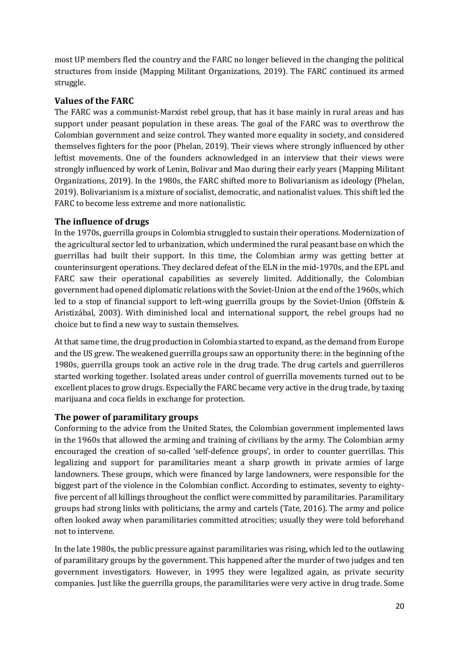most UP members fled the country and the FARC no longer believed in the changing the political structures from inside (Mapping Militant Organizations, 2019). The FARC continued its armed struggle.

### <span id="page-19-0"></span>**Values of the FARC**

The FARC was a communist-Marxist rebel group, that has it base mainly in rural areas and has support under peasant population in these areas. The goal of the FARC was to overthrow the Colombian government and seize control. They wanted more equality in society, and considered themselves fighters for the poor (Phelan, 2019). Their views where strongly influenced by other leftist movements. One of the founders acknowledged in an interview that their views were strongly influenced by work of Lenin, Bolivar and Mao during their early years (Mapping Militant Organizations, 2019). In the 1980s, the FARC shifted more to Bolivarianism as ideology (Phelan, 2019). Bolivarianism is a mixture of socialist, democratic, and nationalist values. This shift led the FARC to become less extreme and more nationalistic.

### <span id="page-19-1"></span>**The influence of drugs**

In the 1970s, guerrilla groups in Colombia struggled to sustain their operations. Modernization of the agricultural sector led to urbanization, which undermined the rural peasant base on which the guerrillas had built their support. In this time, the Colombian army was getting better at counterinsurgent operations. They declared defeat of the ELN in the mid-1970s, and the EPL and FARC saw their operational capabilities as severely limited. Additionally, the Colombian government had opened diplomatic relations with the Soviet-Union at the end of the 1960s, which led to a stop of financial support to left-wing guerrilla groups by the Soviet-Union (Offstein & Aristizábal, 2003). With diminished local and international support, the rebel groups had no choice but to find a new way to sustain themselves.

At that same time, the drug production in Colombia started to expand, as the demand from Europe and the US grew. The weakened guerrilla groups saw an opportunity there: in the beginning of the 1980s, guerrilla groups took an active role in the drug trade. The drug cartels and guerrilleros started working together. Isolated areas under control of guerrilla movements turned out to be excellent places to grow drugs. Especially the FARC became very active in the drug trade, by taxing marijuana and coca fields in exchange for protection.

### <span id="page-19-2"></span>**The power of paramilitary groups**

Conforming to the advice from the United States, the Colombian government implemented laws in the 1960s that allowed the arming and training of civilians by the army. The Colombian army encouraged the creation of so-called 'self-defence groups', in order to counter guerrillas. This legalizing and support for paramilitaries meant a sharp growth in private armies of large landowners. These groups, which were financed by large landowners, were responsible for the biggest part of the violence in the Colombian conflict. According to estimates, seventy to eightyfive percent of all killings throughout the conflict were committed by paramilitaries. Paramilitary groups had strong links with politicians, the army and cartels (Tate, 2016). The army and police often looked away when paramilitaries committed atrocities; usually they were told beforehand not to intervene.

In the late 1980s, the public pressure against paramilitaries was rising, which led to the outlawing of paramilitary groups by the government. This happened after the murder of two judges and ten government investigators. However, in 1995 they were legalized again, as private security companies. Just like the guerrilla groups, the paramilitaries were very active in drug trade. Some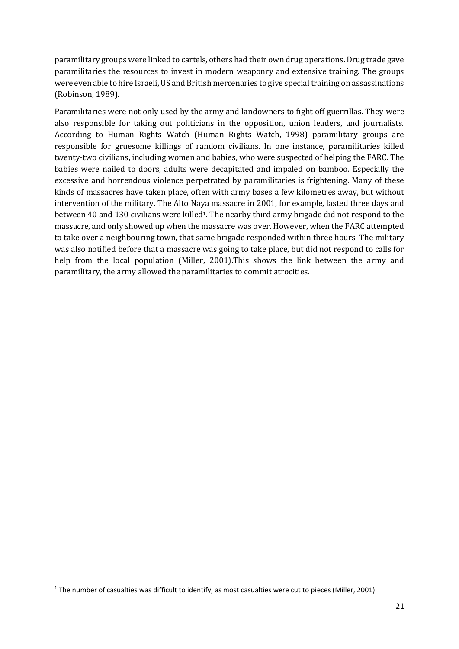paramilitary groups were linked to cartels, others had their own drug operations. Drug trade gave paramilitaries the resources to invest in modern weaponry and extensive training. The groups were even able to hire Israeli, US and British mercenaries to give special training on assassinations (Robinson, 1989).

Paramilitaries were not only used by the army and landowners to fight off guerrillas. They were also responsible for taking out politicians in the opposition, union leaders, and journalists. According to Human Rights Watch (Human Rights Watch, 1998) paramilitary groups are responsible for gruesome killings of random civilians. In one instance, paramilitaries killed twenty-two civilians, including women and babies, who were suspected of helping the FARC. The babies were nailed to doors, adults were decapitated and impaled on bamboo. Especially the excessive and horrendous violence perpetrated by paramilitaries is frightening. Many of these kinds of massacres have taken place, often with army bases a few kilometres away, but without intervention of the military. The Alto Naya massacre in 2001, for example, lasted three days and between 40 and 130 civilians were killed<sup>1</sup>. The nearby third army brigade did not respond to the massacre, and only showed up when the massacre was over. However, when the FARC attempted to take over a neighbouring town, that same brigade responded within three hours. The military was also notified before that a massacre was going to take place, but did not respond to calls for help from the local population (Miller, 2001).This shows the link between the army and paramilitary, the army allowed the paramilitaries to commit atrocities.

1

<sup>&</sup>lt;sup>1</sup> The number of casualties was difficult to identify, as most casualties were cut to pieces (Miller, 2001)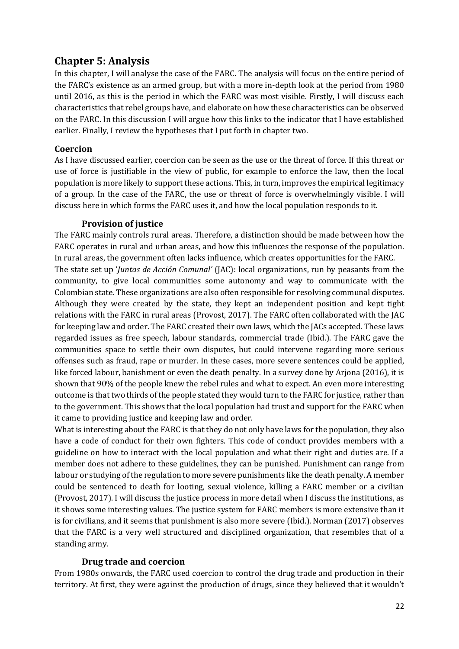### <span id="page-21-0"></span>**Chapter 5: Analysis**

In this chapter, I will analyse the case of the FARC. The analysis will focus on the entire period of the FARC's existence as an armed group, but with a more in-depth look at the period from 1980 until 2016, as this is the period in which the FARC was most visible. Firstly, I will discuss each characteristics that rebel groups have, and elaborate on how these characteristics can be observed on the FARC. In this discussion I will argue how this links to the indicator that I have established earlier. Finally, I review the hypotheses that I put forth in chapter two.

### <span id="page-21-1"></span>**Coercion**

As I have discussed earlier, coercion can be seen as the use or the threat of force. If this threat or use of force is justifiable in the view of public, for example to enforce the law, then the local population is more likely to support these actions. This, in turn, improves the empirical legitimacy of a group. In the case of the FARC, the use or threat of force is overwhelmingly visible. I will discuss here in which forms the FARC uses it, and how the local population responds to it.

### **Provision of justice**

<span id="page-21-2"></span>The FARC mainly controls rural areas. Therefore, a distinction should be made between how the FARC operates in rural and urban areas, and how this influences the response of the population. In rural areas, the government often lacks influence, which creates opportunities for the FARC. The state set up '*Juntas de Acción Comunal'* (JAC): local organizations, run by peasants from the community, to give local communities some autonomy and way to communicate with the Colombian state. These organizations are also often responsible for resolving communal disputes. Although they were created by the state, they kept an independent position and kept tight relations with the FARC in rural areas (Provost, 2017). The FARC often collaborated with the JAC for keeping law and order. The FARC created their own laws, which the JACs accepted. These laws regarded issues as free speech, labour standards, commercial trade (Ibid.). The FARC gave the communities space to settle their own disputes, but could intervene regarding more serious offenses such as fraud, rape or murder. In these cases, more severe sentences could be applied, like forced labour, banishment or even the death penalty. In a survey done by Arjona (2016), it is shown that 90% of the people knew the rebel rules and what to expect. An even more interesting outcome is that two thirds of the people stated they would turn to the FARC for justice, rather than to the government. This shows that the local population had trust and support for the FARC when it came to providing justice and keeping law and order.

What is interesting about the FARC is that they do not only have laws for the population, they also have a code of conduct for their own fighters. This code of conduct provides members with a guideline on how to interact with the local population and what their right and duties are. If a member does not adhere to these guidelines, they can be punished. Punishment can range from labour or studying of the regulation to more severe punishments like the death penalty. A member could be sentenced to death for looting, sexual violence, killing a FARC member or a civilian (Provost, 2017). I will discuss the justice process in more detail when I discuss the institutions, as it shows some interesting values. The justice system for FARC members is more extensive than it is for civilians, and it seems that punishment is also more severe (Ibid.). Norman (2017) observes that the FARC is a very well structured and disciplined organization, that resembles that of a standing army.

### **Drug trade and coercion**

<span id="page-21-3"></span>From 1980s onwards, the FARC used coercion to control the drug trade and production in their territory. At first, they were against the production of drugs, since they believed that it wouldn't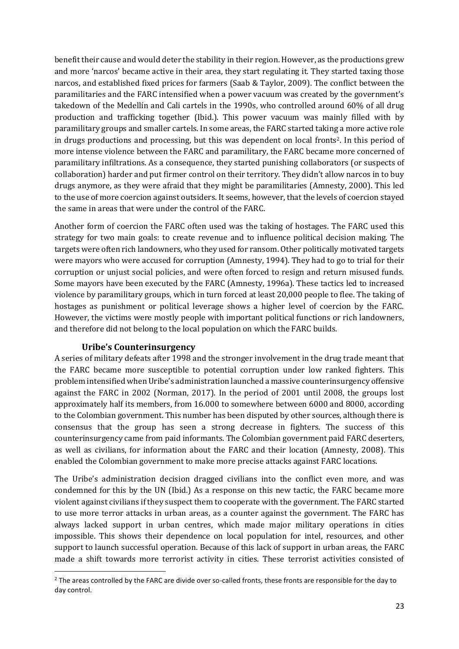benefit their cause and would deter the stability in their region. However, as the productions grew and more 'narcos' became active in their area, they start regulating it. They started taxing those narcos, and established fixed prices for farmers (Saab & Taylor, 2009). The conflict between the paramilitaries and the FARC intensified when a power vacuum was created by the government's takedown of the Medellín and Cali cartels in the 1990s, who controlled around 60% of all drug production and trafficking together (Ibid.). This power vacuum was mainly filled with by paramilitary groups and smaller cartels. In some areas, the FARC started taking a more active role in drugs productions and processing, but this was dependent on local fronts2. In this period of more intense violence between the FARC and paramilitary, the FARC became more concerned of paramilitary infiltrations. As a consequence, they started punishing collaborators (or suspects of collaboration) harder and put firmer control on their territory. They didn't allow narcos in to buy drugs anymore, as they were afraid that they might be paramilitaries (Amnesty, 2000). This led to the use of more coercion against outsiders. It seems, however, that the levels of coercion stayed the same in areas that were under the control of the FARC.

Another form of coercion the FARC often used was the taking of hostages. The FARC used this strategy for two main goals: to create revenue and to influence political decision making. The targets were often rich landowners, who they used for ransom. Other politically motivated targets were mayors who were accused for corruption (Amnesty, 1994). They had to go to trial for their corruption or unjust social policies, and were often forced to resign and return misused funds. Some mayors have been executed by the FARC (Amnesty, 1996a). These tactics led to increased violence by paramilitary groups, which in turn forced at least 20,000 people to flee. The taking of hostages as punishment or political leverage shows a higher level of coercion by the FARC. However, the victims were mostly people with important political functions or rich landowners, and therefore did not belong to the local population on which the FARC builds.

### **Uribe's Counterinsurgency**

**.** 

<span id="page-22-0"></span>A series of military defeats after 1998 and the stronger involvement in the drug trade meant that the FARC became more susceptible to potential corruption under low ranked fighters. This problem intensified when Uribe's administration launched a massive counterinsurgency offensive against the FARC in 2002 (Norman, 2017). In the period of 2001 until 2008, the groups lost approximately half its members, from 16.000 to somewhere between 6000 and 8000, according to the Colombian government. This number has been disputed by other sources, although there is consensus that the group has seen a strong decrease in fighters. The success of this counterinsurgency came from paid informants. The Colombian government paid FARC deserters, as well as civilians, for information about the FARC and their location (Amnesty, 2008). This enabled the Colombian government to make more precise attacks against FARC locations.

The Uribe's administration decision dragged civilians into the conflict even more, and was condemned for this by the UN (Ibid.) As a response on this new tactic, the FARC became more violent against civilians if they suspect them to cooperate with the government. The FARC started to use more terror attacks in urban areas, as a counter against the government. The FARC has always lacked support in urban centres, which made major military operations in cities impossible. This shows their dependence on local population for intel, resources, and other support to launch successful operation. Because of this lack of support in urban areas, the FARC made a shift towards more terrorist activity in cities. These terrorist activities consisted of

<sup>&</sup>lt;sup>2</sup> The areas controlled by the FARC are divide over so-called fronts, these fronts are responsible for the day to day control.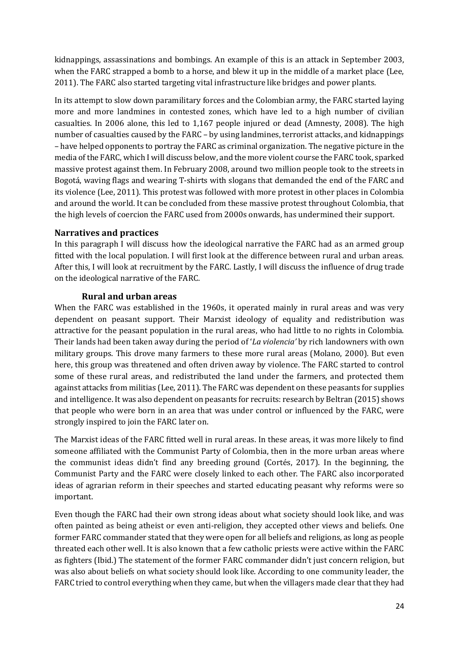kidnappings, assassinations and bombings. An example of this is an attack in September 2003, when the FARC strapped a bomb to a horse, and blew it up in the middle of a market place (Lee, 2011). The FARC also started targeting vital infrastructure like bridges and power plants.

In its attempt to slow down paramilitary forces and the Colombian army, the FARC started laying more and more landmines in contested zones, which have led to a high number of civilian casualties. In 2006 alone, this led to 1,167 people injured or dead (Amnesty, 2008). The high number of casualties caused by the FARC – by using landmines, terrorist attacks, and kidnappings – have helped opponents to portray the FARC as criminal organization. The negative picture in the media of the FARC, which I will discuss below, and the more violent course the FARC took, sparked massive protest against them. In February 2008, around two million people took to the streets in Bogotá, waving flags and wearing T-shirts with slogans that demanded the end of the FARC and its violence (Lee, 2011). This protest was followed with more protest in other places in Colombia and around the world. It can be concluded from these massive protest throughout Colombia, that the high levels of coercion the FARC used from 2000s onwards, has undermined their support.

### <span id="page-23-0"></span>**Narratives and practices**

In this paragraph I will discuss how the ideological narrative the FARC had as an armed group fitted with the local population. I will first look at the difference between rural and urban areas. After this, I will look at recruitment by the FARC. Lastly, I will discuss the influence of drug trade on the ideological narrative of the FARC.

### **Rural and urban areas**

<span id="page-23-1"></span>When the FARC was established in the 1960s, it operated mainly in rural areas and was very dependent on peasant support. Their Marxist ideology of equality and redistribution was attractive for the peasant population in the rural areas, who had little to no rights in Colombia. Their lands had been taken away during the period of '*La violencia'* by rich landowners with own military groups. This drove many farmers to these more rural areas (Molano, 2000). But even here, this group was threatened and often driven away by violence. The FARC started to control some of these rural areas, and redistributed the land under the farmers, and protected them against attacks from militias (Lee, 2011). The FARC was dependent on these peasants for supplies and intelligence. It was also dependent on peasants for recruits: research by Beltran (2015) shows that people who were born in an area that was under control or influenced by the FARC, were strongly inspired to join the FARC later on.

The Marxist ideas of the FARC fitted well in rural areas. In these areas, it was more likely to find someone affiliated with the Communist Party of Colombia, then in the more urban areas where the communist ideas didn't find any breeding ground (Cortés, 2017). In the beginning, the Communist Party and the FARC were closely linked to each other. The FARC also incorporated ideas of agrarian reform in their speeches and started educating peasant why reforms were so important.

Even though the FARC had their own strong ideas about what society should look like, and was often painted as being atheist or even anti-religion, they accepted other views and beliefs. One former FARC commander stated that they were open for all beliefs and religions, as long as people threated each other well. It is also known that a few catholic priests were active within the FARC as fighters (Ibid.) The statement of the former FARC commander didn't just concern religion, but was also about beliefs on what society should look like. According to one community leader, the FARC tried to control everything when they came, but when the villagers made clear that they had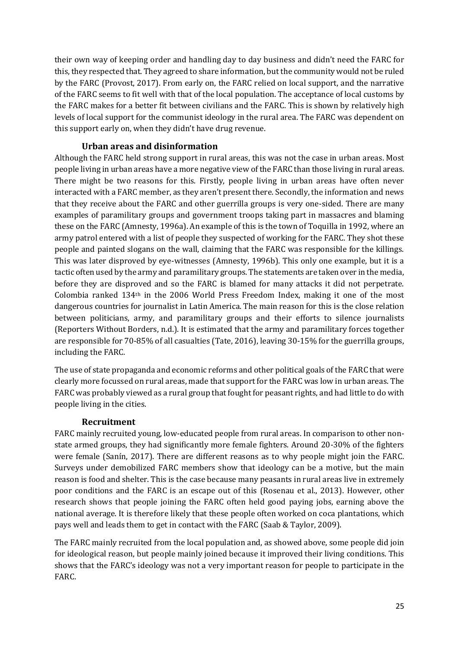their own way of keeping order and handling day to day business and didn't need the FARC for this, they respected that. They agreed to share information, but the community would not be ruled by the FARC (Provost, 2017). From early on, the FARC relied on local support, and the narrative of the FARC seems to fit well with that of the local population. The acceptance of local customs by the FARC makes for a better fit between civilians and the FARC. This is shown by relatively high levels of local support for the communist ideology in the rural area. The FARC was dependent on this support early on, when they didn't have drug revenue.

### **Urban areas and disinformation**

<span id="page-24-0"></span>Although the FARC held strong support in rural areas, this was not the case in urban areas. Most people living in urban areas have a more negative view of the FARC than those living in rural areas. There might be two reasons for this. Firstly, people living in urban areas have often never interacted with a FARC member, as they aren't present there. Secondly, the information and news that they receive about the FARC and other guerrilla groups is very one-sided. There are many examples of paramilitary groups and government troops taking part in massacres and blaming these on the FARC (Amnesty, 1996a). An example of this is the town of Toquilla in 1992, where an army patrol entered with a list of people they suspected of working for the FARC. They shot these people and painted slogans on the wall, claiming that the FARC was responsible for the killings. This was later disproved by eye-witnesses (Amnesty, 1996b). This only one example, but it is a tactic often used by the army and paramilitary groups. The statements are taken over in the media, before they are disproved and so the FARC is blamed for many attacks it did not perpetrate. Colombia ranked  $134<sup>th</sup>$  in the 2006 World Press Freedom Index, making it one of the most dangerous countries for journalist in Latin America. The main reason for this is the close relation between politicians, army, and paramilitary groups and their efforts to silence journalists (Reporters Without Borders, n.d.). It is estimated that the army and paramilitary forces together are responsible for 70-85% of all casualties (Tate, 2016), leaving 30-15% for the guerrilla groups, including the FARC.

The use of state propaganda and economic reforms and other political goals of the FARC that were clearly more focussed on rural areas, made that support for the FARC was low in urban areas. The FARC was probably viewed as a rural group that fought for peasant rights, and had little to do with people living in the cities.

### **Recruitment**

<span id="page-24-1"></span>FARC mainly recruited young, low-educated people from rural areas. In comparison to other nonstate armed groups, they had significantly more female fighters. Around 20-30% of the fighters were female (Sanín, 2017). There are different reasons as to why people might join the FARC. Surveys under demobilized FARC members show that ideology can be a motive, but the main reason is food and shelter. This is the case because many peasants in rural areas live in extremely poor conditions and the FARC is an escape out of this (Rosenau et al., 2013). However, other research shows that people joining the FARC often held good paying jobs, earning above the national average. It is therefore likely that these people often worked on coca plantations, which pays well and leads them to get in contact with the FARC (Saab & Taylor, 2009).

The FARC mainly recruited from the local population and, as showed above, some people did join for ideological reason, but people mainly joined because it improved their living conditions. This shows that the FARC's ideology was not a very important reason for people to participate in the FARC.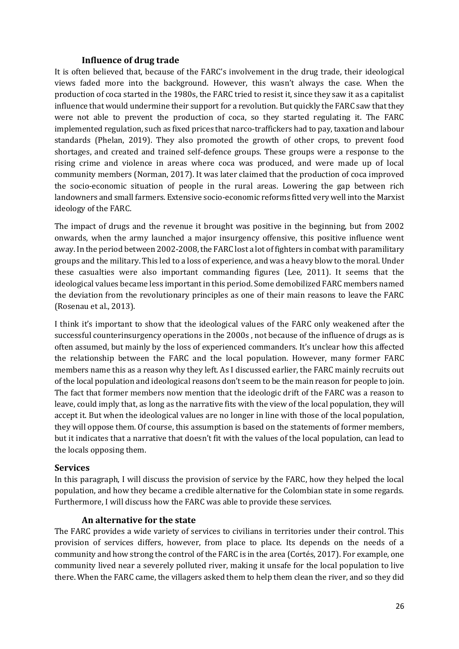#### **Influence of drug trade**

<span id="page-25-0"></span>It is often believed that, because of the FARC's involvement in the drug trade, their ideological views faded more into the background. However, this wasn't always the case. When the production of coca started in the 1980s, the FARC tried to resist it, since they saw it as a capitalist influence that would undermine their support for a revolution. But quickly the FARC saw that they were not able to prevent the production of coca, so they started regulating it. The FARC implemented regulation, such as fixed prices that narco-traffickers had to pay, taxation and labour standards (Phelan, 2019). They also promoted the growth of other crops, to prevent food shortages, and created and trained self-defence groups. These groups were a response to the rising crime and violence in areas where coca was produced, and were made up of local community members (Norman, 2017). It was later claimed that the production of coca improved the socio-economic situation of people in the rural areas. Lowering the gap between rich landowners and small farmers. Extensive socio-economic reforms fitted very well into the Marxist ideology of the FARC.

The impact of drugs and the revenue it brought was positive in the beginning, but from 2002 onwards, when the army launched a major insurgency offensive, this positive influence went away. In the period between 2002-2008, the FARC lost a lot of fighters in combat with paramilitary groups and the military. This led to a loss of experience, and was a heavy blow to the moral. Under these casualties were also important commanding figures (Lee, 2011). It seems that the ideological values became less important in this period. Some demobilized FARC members named the deviation from the revolutionary principles as one of their main reasons to leave the FARC (Rosenau et al., 2013).

I think it's important to show that the ideological values of the FARC only weakened after the successful counterinsurgency operations in the 2000s , not because of the influence of drugs as is often assumed, but mainly by the loss of experienced commanders. It's unclear how this affected the relationship between the FARC and the local population. However, many former FARC members name this as a reason why they left. As I discussed earlier, the FARC mainly recruits out of the local population and ideological reasons don't seem to be the main reason for people to join. The fact that former members now mention that the ideologic drift of the FARC was a reason to leave, could imply that, as long as the narrative fits with the view of the local population, they will accept it. But when the ideological values are no longer in line with those of the local population, they will oppose them. Of course, this assumption is based on the statements of former members, but it indicates that a narrative that doesn't fit with the values of the local population, can lead to the locals opposing them.

### <span id="page-25-1"></span>**Services**

In this paragraph, I will discuss the provision of service by the FARC, how they helped the local population, and how they became a credible alternative for the Colombian state in some regards. Furthermore, I will discuss how the FARC was able to provide these services.

### **An alternative for the state**

<span id="page-25-2"></span>The FARC provides a wide variety of services to civilians in territories under their control. This provision of services differs, however, from place to place. Its depends on the needs of a community and how strong the control of the FARC is in the area (Cortés, 2017). For example, one community lived near a severely polluted river, making it unsafe for the local population to live there. When the FARC came, the villagers asked them to help them clean the river, and so they did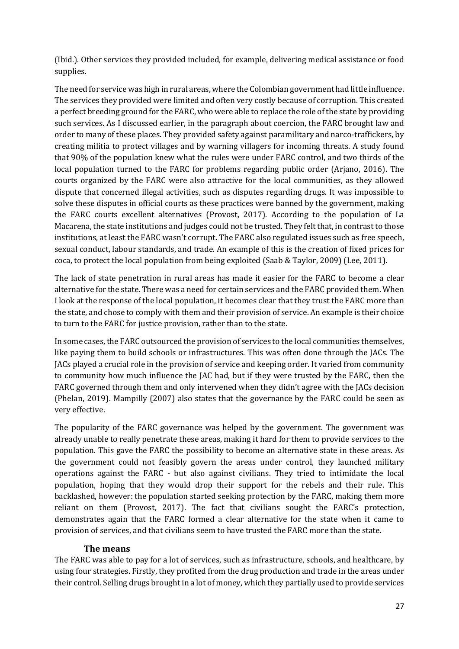(Ibid.). Other services they provided included, for example, delivering medical assistance or food supplies.

The need for service was high in rural areas, where the Colombian government had little influence. The services they provided were limited and often very costly because of corruption. This created a perfect breeding ground for the FARC, who were able to replace the role of the state by providing such services. As I discussed earlier, in the paragraph about coercion, the FARC brought law and order to many of these places. They provided safety against paramilitary and narco-traffickers, by creating militia to protect villages and by warning villagers for incoming threats. A study found that 90% of the population knew what the rules were under FARC control, and two thirds of the local population turned to the FARC for problems regarding public order (Arjano, 2016). The courts organized by the FARC were also attractive for the local communities, as they allowed dispute that concerned illegal activities, such as disputes regarding drugs. It was impossible to solve these disputes in official courts as these practices were banned by the government, making the FARC courts excellent alternatives (Provost, 2017). According to the population of La Macarena, the state institutions and judges could not be trusted. They felt that, in contrast to those institutions, at least the FARC wasn't corrupt. The FARC also regulated issues such as free speech, sexual conduct, labour standards, and trade. An example of this is the creation of fixed prices for coca, to protect the local population from being exploited (Saab & Taylor, 2009) (Lee, 2011).

The lack of state penetration in rural areas has made it easier for the FARC to become a clear alternative for the state. There was a need for certain services and the FARC provided them. When I look at the response of the local population, it becomes clear that they trust the FARC more than the state, and chose to comply with them and their provision of service. An example is their choice to turn to the FARC for justice provision, rather than to the state.

In some cases, the FARC outsourced the provision of services to the local communities themselves, like paying them to build schools or infrastructures. This was often done through the JACs. The JACs played a crucial role in the provision of service and keeping order. It varied from community to community how much influence the JAC had, but if they were trusted by the FARC, then the FARC governed through them and only intervened when they didn't agree with the JACs decision (Phelan, 2019). Mampilly (2007) also states that the governance by the FARC could be seen as very effective.

The popularity of the FARC governance was helped by the government. The government was already unable to really penetrate these areas, making it hard for them to provide services to the population. This gave the FARC the possibility to become an alternative state in these areas. As the government could not feasibly govern the areas under control, they launched military operations against the FARC - but also against civilians. They tried to intimidate the local population, hoping that they would drop their support for the rebels and their rule. This backlashed, however: the population started seeking protection by the FARC, making them more reliant on them (Provost, 2017). The fact that civilians sought the FARC's protection, demonstrates again that the FARC formed a clear alternative for the state when it came to provision of services, and that civilians seem to have trusted the FARC more than the state.

### <span id="page-26-0"></span>**The means**

The FARC was able to pay for a lot of services, such as infrastructure, schools, and healthcare, by using four strategies. Firstly, they profited from the drug production and trade in the areas under their control. Selling drugs brought in a lot of money, which they partially used to provide services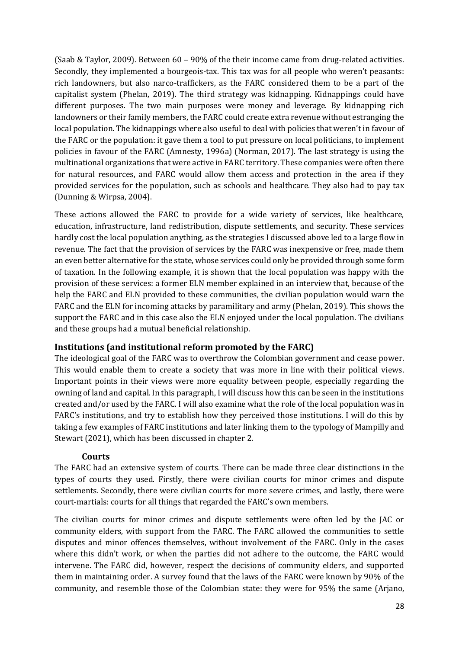(Saab & Taylor, 2009). Between 60 – 90% of the their income came from drug-related activities. Secondly, they implemented a bourgeois-tax. This tax was for all people who weren't peasants: rich landowners, but also narco-traffickers, as the FARC considered them to be a part of the capitalist system (Phelan, 2019). The third strategy was kidnapping. Kidnappings could have different purposes. The two main purposes were money and leverage. By kidnapping rich landowners or their family members, the FARC could create extra revenue without estranging the local population. The kidnappings where also useful to deal with policies that weren't in favour of the FARC or the population: it gave them a tool to put pressure on local politicians, to implement policies in favour of the FARC (Amnesty, 1996a) (Norman, 2017). The last strategy is using the multinational organizations that were active in FARC territory. These companies were often there for natural resources, and FARC would allow them access and protection in the area if they provided services for the population, such as schools and healthcare. They also had to pay tax (Dunning & Wirpsa, 2004).

These actions allowed the FARC to provide for a wide variety of services, like healthcare, education, infrastructure, land redistribution, dispute settlements, and security. These services hardly cost the local population anything, as the strategies I discussed above led to a large flow in revenue. The fact that the provision of services by the FARC was inexpensive or free, made them an even better alternative for the state, whose services could only be provided through some form of taxation. In the following example, it is shown that the local population was happy with the provision of these services: a former ELN member explained in an interview that, because of the help the FARC and ELN provided to these communities, the civilian population would warn the FARC and the ELN for incoming attacks by paramilitary and army (Phelan, 2019). This shows the support the FARC and in this case also the ELN enjoyed under the local population. The civilians and these groups had a mutual beneficial relationship.

### <span id="page-27-0"></span>**Institutions (and institutional reform promoted by the FARC)**

The ideological goal of the FARC was to overthrow the Colombian government and cease power. This would enable them to create a society that was more in line with their political views. Important points in their views were more equality between people, especially regarding the owning of land and capital. In this paragraph, I will discuss how this can be seen in the institutions created and/or used by the FARC. I will also examine what the role of the local population was in FARC's institutions, and try to establish how they perceived those institutions. I will do this by taking a few examples of FARC institutions and later linking them to the typology of Mampilly and Stewart (2021), which has been discussed in chapter 2.

### **Courts**

<span id="page-27-1"></span>The FARC had an extensive system of courts. There can be made three clear distinctions in the types of courts they used. Firstly, there were civilian courts for minor crimes and dispute settlements. Secondly, there were civilian courts for more severe crimes, and lastly, there were court-martials: courts for all things that regarded the FARC's own members.

The civilian courts for minor crimes and dispute settlements were often led by the JAC or community elders, with support from the FARC. The FARC allowed the communities to settle disputes and minor offences themselves, without involvement of the FARC. Only in the cases where this didn't work, or when the parties did not adhere to the outcome, the FARC would intervene. The FARC did, however, respect the decisions of community elders, and supported them in maintaining order. A survey found that the laws of the FARC were known by 90% of the community, and resemble those of the Colombian state: they were for 95% the same (Arjano,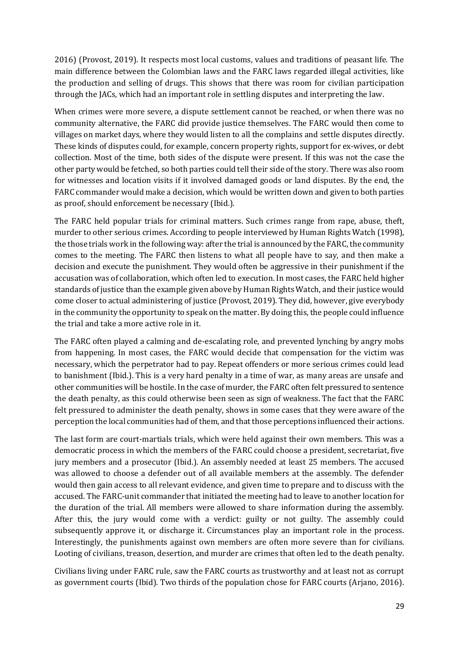2016) (Provost, 2019). It respects most local customs, values and traditions of peasant life. The main difference between the Colombian laws and the FARC laws regarded illegal activities, like the production and selling of drugs. This shows that there was room for civilian participation through the JACs, which had an important role in settling disputes and interpreting the law.

When crimes were more severe, a dispute settlement cannot be reached, or when there was no community alternative, the FARC did provide justice themselves. The FARC would then come to villages on market days, where they would listen to all the complains and settle disputes directly. These kinds of disputes could, for example, concern property rights, support for ex-wives, or debt collection. Most of the time, both sides of the dispute were present. If this was not the case the other party would be fetched, so both parties could tell their side of the story. There was also room for witnesses and location visits if it involved damaged goods or land disputes. By the end, the FARC commander would make a decision, which would be written down and given to both parties as proof, should enforcement be necessary (Ibid.).

The FARC held popular trials for criminal matters. Such crimes range from rape, abuse, theft, murder to other serious crimes. According to people interviewed by Human Rights Watch (1998), the those trials work in the following way: after the trial is announced by the FARC, the community comes to the meeting. The FARC then listens to what all people have to say, and then make a decision and execute the punishment. They would often be aggressive in their punishment if the accusation was of collaboration, which often led to execution. In most cases, the FARC held higher standards of justice than the example given above by Human Rights Watch, and their justice would come closer to actual administering of justice (Provost, 2019). They did, however, give everybody in the community the opportunity to speak on the matter. By doing this, the people could influence the trial and take a more active role in it.

The FARC often played a calming and de-escalating role, and prevented lynching by angry mobs from happening. In most cases, the FARC would decide that compensation for the victim was necessary, which the perpetrator had to pay. Repeat offenders or more serious crimes could lead to banishment (Ibid.). This is a very hard penalty in a time of war, as many areas are unsafe and other communities will be hostile. In the case of murder, the FARC often felt pressured to sentence the death penalty, as this could otherwise been seen as sign of weakness. The fact that the FARC felt pressured to administer the death penalty, shows in some cases that they were aware of the perception the local communities had of them, and that those perceptions influenced their actions.

The last form are court-martials trials, which were held against their own members. This was a democratic process in which the members of the FARC could choose a president, secretariat, five jury members and a prosecutor (Ibid.). An assembly needed at least 25 members. The accused was allowed to choose a defender out of all available members at the assembly. The defender would then gain access to all relevant evidence, and given time to prepare and to discuss with the accused. The FARC-unit commander that initiated the meeting had to leave to another location for the duration of the trial. All members were allowed to share information during the assembly. After this, the jury would come with a verdict: guilty or not guilty. The assembly could subsequently approve it, or discharge it. Circumstances play an important role in the process. Interestingly, the punishments against own members are often more severe than for civilians. Looting of civilians, treason, desertion, and murder are crimes that often led to the death penalty.

Civilians living under FARC rule, saw the FARC courts as trustworthy and at least not as corrupt as government courts (Ibid). Two thirds of the population chose for FARC courts (Arjano, 2016).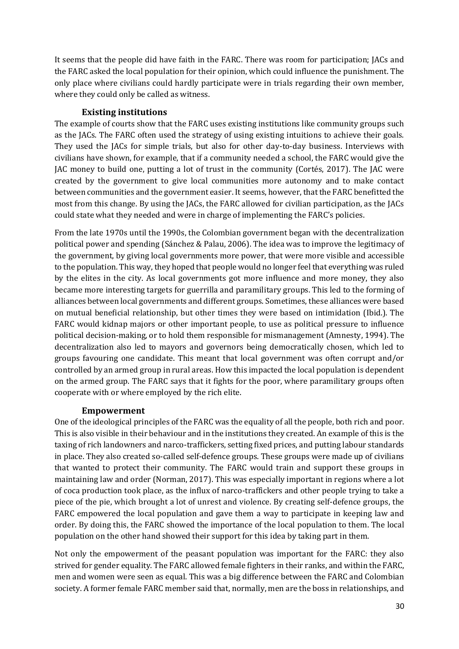It seems that the people did have faith in the FARC. There was room for participation; JACs and the FARC asked the local population for their opinion, which could influence the punishment. The only place where civilians could hardly participate were in trials regarding their own member, where they could only be called as witness.

### **Existing institutions**

<span id="page-29-0"></span>The example of courts show that the FARC uses existing institutions like community groups such as the JACs. The FARC often used the strategy of using existing intuitions to achieve their goals. They used the JACs for simple trials, but also for other day-to-day business. Interviews with civilians have shown, for example, that if a community needed a school, the FARC would give the JAC money to build one, putting a lot of trust in the community (Cortés, 2017). The JAC were created by the government to give local communities more autonomy and to make contact between communities and the government easier. It seems, however, that the FARC benefitted the most from this change. By using the JACs, the FARC allowed for civilian participation, as the JACs could state what they needed and were in charge of implementing the FARC's policies.

From the late 1970s until the 1990s, the Colombian government began with the decentralization political power and spending (Sánchez & Palau, 2006). The idea was to improve the legitimacy of the government, by giving local governments more power, that were more visible and accessible to the population. This way, they hoped that people would no longer feel that everything was ruled by the elites in the city. As local governments got more influence and more money, they also became more interesting targets for guerrilla and paramilitary groups. This led to the forming of alliances between local governments and different groups. Sometimes, these alliances were based on mutual beneficial relationship, but other times they were based on intimidation (Ibid.). The FARC would kidnap majors or other important people, to use as political pressure to influence political decision-making, or to hold them responsible for mismanagement (Amnesty, 1994). The decentralization also led to mayors and governors being democratically chosen, which led to groups favouring one candidate. This meant that local government was often corrupt and/or controlled by an armed group in rural areas. How this impacted the local population is dependent on the armed group. The FARC says that it fights for the poor, where paramilitary groups often cooperate with or where employed by the rich elite.

### **Empowerment**

<span id="page-29-1"></span>One of the ideological principles of the FARC was the equality of all the people, both rich and poor. This is also visible in their behaviour and in the institutions they created. An example of this is the taxing of rich landowners and narco-traffickers, setting fixed prices, and putting labour standards in place. They also created so-called self-defence groups. These groups were made up of civilians that wanted to protect their community. The FARC would train and support these groups in maintaining law and order (Norman, 2017). This was especially important in regions where a lot of coca production took place, as the influx of narco-traffickers and other people trying to take a piece of the pie, which brought a lot of unrest and violence. By creating self-defence groups, the FARC empowered the local population and gave them a way to participate in keeping law and order. By doing this, the FARC showed the importance of the local population to them. The local population on the other hand showed their support for this idea by taking part in them.

Not only the empowerment of the peasant population was important for the FARC: they also strived for gender equality. The FARC allowed female fighters in their ranks, and within the FARC, men and women were seen as equal. This was a big difference between the FARC and Colombian society. A former female FARC member said that, normally, men are the boss in relationships, and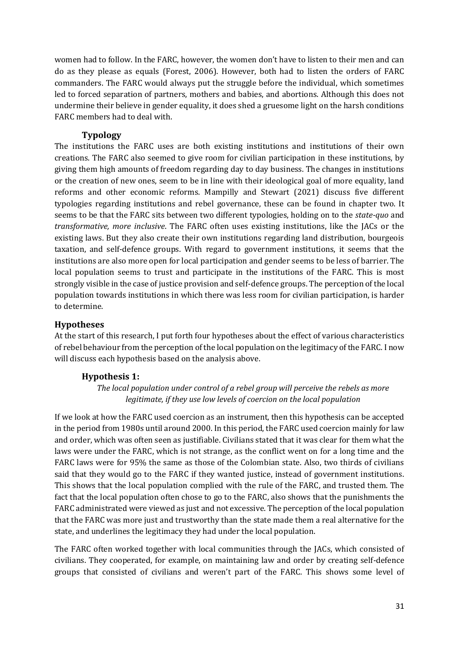women had to follow. In the FARC, however, the women don't have to listen to their men and can do as they please as equals (Forest, 2006). However, both had to listen the orders of FARC commanders. The FARC would always put the struggle before the individual, which sometimes led to forced separation of partners, mothers and babies, and abortions. Although this does not undermine their believe in gender equality, it does shed a gruesome light on the harsh conditions FARC members had to deal with.

### **Typology**

<span id="page-30-0"></span>The institutions the FARC uses are both existing institutions and institutions of their own creations. The FARC also seemed to give room for civilian participation in these institutions, by giving them high amounts of freedom regarding day to day business. The changes in institutions or the creation of new ones, seem to be in line with their ideological goal of more equality, land reforms and other economic reforms. Mampilly and Stewart (2021) discuss five different typologies regarding institutions and rebel governance, these can be found in chapter two. It seems to be that the FARC sits between two different typologies, holding on to the *state-quo* and *transformative, more inclusive*. The FARC often uses existing institutions, like the JACs or the existing laws. But they also create their own institutions regarding land distribution, bourgeois taxation, and self-defence groups. With regard to government institutions, it seems that the institutions are also more open for local participation and gender seems to be less of barrier. The local population seems to trust and participate in the institutions of the FARC. This is most strongly visible in the case of justice provision and self-defence groups. The perception of the local population towards institutions in which there was less room for civilian participation, is harder to determine.

### <span id="page-30-1"></span>**Hypotheses**

At the start of this research, I put forth four hypotheses about the effect of various characteristics of rebel behaviour from the perception of the local population on the legitimacy of the FARC. I now will discuss each hypothesis based on the analysis above.

### <span id="page-30-2"></span>**Hypothesis 1:**

*The local population under control of a rebel group will perceive the rebels as more legitimate, if they use low levels of coercion on the local population*

If we look at how the FARC used coercion as an instrument, then this hypothesis can be accepted in the period from 1980s until around 2000. In this period, the FARC used coercion mainly for law and order, which was often seen as justifiable. Civilians stated that it was clear for them what the laws were under the FARC, which is not strange, as the conflict went on for a long time and the FARC laws were for 95% the same as those of the Colombian state. Also, two thirds of civilians said that they would go to the FARC if they wanted justice, instead of government institutions. This shows that the local population complied with the rule of the FARC, and trusted them. The fact that the local population often chose to go to the FARC, also shows that the punishments the FARC administrated were viewed as just and not excessive. The perception of the local population that the FARC was more just and trustworthy than the state made them a real alternative for the state, and underlines the legitimacy they had under the local population.

The FARC often worked together with local communities through the JACs, which consisted of civilians. They cooperated, for example, on maintaining law and order by creating self-defence groups that consisted of civilians and weren't part of the FARC. This shows some level of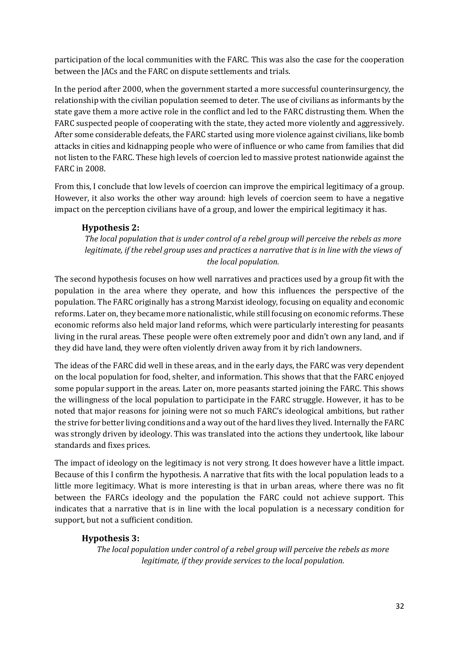participation of the local communities with the FARC. This was also the case for the cooperation between the JACs and the FARC on dispute settlements and trials.

In the period after 2000, when the government started a more successful counterinsurgency, the relationship with the civilian population seemed to deter. The use of civilians as informants by the state gave them a more active role in the conflict and led to the FARC distrusting them. When the FARC suspected people of cooperating with the state, they acted more violently and aggressively. After some considerable defeats, the FARC started using more violence against civilians, like bomb attacks in cities and kidnapping people who were of influence or who came from families that did not listen to the FARC. These high levels of coercion led to massive protest nationwide against the FARC in 2008.

From this, I conclude that low levels of coercion can improve the empirical legitimacy of a group. However, it also works the other way around: high levels of coercion seem to have a negative impact on the perception civilians have of a group, and lower the empirical legitimacy it has.

### <span id="page-31-0"></span>**Hypothesis 2:**

*The local population that is under control of a rebel group will perceive the rebels as more legitimate, if the rebel group uses and practices a narrative that is in line with the views of the local population.*

The second hypothesis focuses on how well narratives and practices used by a group fit with the population in the area where they operate, and how this influences the perspective of the population. The FARC originally has a strong Marxist ideology, focusing on equality and economic reforms. Later on, they became more nationalistic, while still focusing on economic reforms. These economic reforms also held major land reforms, which were particularly interesting for peasants living in the rural areas. These people were often extremely poor and didn't own any land, and if they did have land, they were often violently driven away from it by rich landowners.

The ideas of the FARC did well in these areas, and in the early days, the FARC was very dependent on the local population for food, shelter, and information. This shows that that the FARC enjoyed some popular support in the areas. Later on, more peasants started joining the FARC. This shows the willingness of the local population to participate in the FARC struggle. However, it has to be noted that major reasons for joining were not so much FARC's ideological ambitions, but rather the strive for better living conditions and a way out of the hard lives they lived. Internally the FARC was strongly driven by ideology. This was translated into the actions they undertook, like labour standards and fixes prices.

The impact of ideology on the legitimacy is not very strong. It does however have a little impact. Because of this I confirm the hypothesis. A narrative that fits with the local population leads to a little more legitimacy. What is more interesting is that in urban areas, where there was no fit between the FARCs ideology and the population the FARC could not achieve support. This indicates that a narrative that is in line with the local population is a necessary condition for support, but not a sufficient condition.

### <span id="page-31-1"></span>**Hypothesis 3:**

*The local population under control of a rebel group will perceive the rebels as more legitimate, if they provide services to the local population.*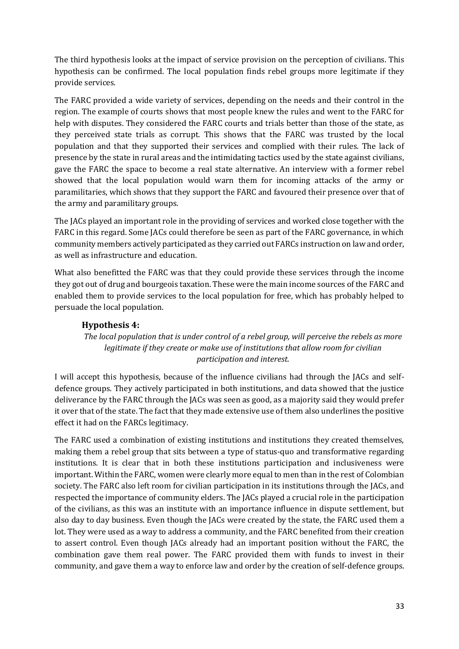The third hypothesis looks at the impact of service provision on the perception of civilians. This hypothesis can be confirmed. The local population finds rebel groups more legitimate if they provide services.

The FARC provided a wide variety of services, depending on the needs and their control in the region. The example of courts shows that most people knew the rules and went to the FARC for help with disputes. They considered the FARC courts and trials better than those of the state, as they perceived state trials as corrupt. This shows that the FARC was trusted by the local population and that they supported their services and complied with their rules. The lack of presence by the state in rural areas and the intimidating tactics used by the state against civilians, gave the FARC the space to become a real state alternative. An interview with a former rebel showed that the local population would warn them for incoming attacks of the army or paramilitaries, which shows that they support the FARC and favoured their presence over that of the army and paramilitary groups.

The JACs played an important role in the providing of services and worked close together with the FARC in this regard. Some JACs could therefore be seen as part of the FARC governance, in which community members actively participated as they carried out FARCs instruction on law and order, as well as infrastructure and education.

What also benefitted the FARC was that they could provide these services through the income they got out of drug and bourgeois taxation. These were the main income sources of the FARC and enabled them to provide services to the local population for free, which has probably helped to persuade the local population.

### <span id="page-32-0"></span>**Hypothesis 4:**

### *The local population that is under control of a rebel group, will perceive the rebels as more legitimate if they create or make use of institutions that allow room for civilian participation and interest.*

I will accept this hypothesis, because of the influence civilians had through the JACs and selfdefence groups. They actively participated in both institutions, and data showed that the justice deliverance by the FARC through the JACs was seen as good, as a majority said they would prefer it over that of the state. The fact that they made extensive use of them also underlines the positive effect it had on the FARCs legitimacy.

The FARC used a combination of existing institutions and institutions they created themselves, making them a rebel group that sits between a type of status-quo and transformative regarding institutions. It is clear that in both these institutions participation and inclusiveness were important. Within the FARC, women were clearly more equal to men than in the rest of Colombian society. The FARC also left room for civilian participation in its institutions through the JACs, and respected the importance of community elders. The JACs played a crucial role in the participation of the civilians, as this was an institute with an importance influence in dispute settlement, but also day to day business. Even though the JACs were created by the state, the FARC used them a lot. They were used as a way to address a community, and the FARC benefited from their creation to assert control. Even though JACs already had an important position without the FARC, the combination gave them real power. The FARC provided them with funds to invest in their community, and gave them a way to enforce law and order by the creation of self-defence groups.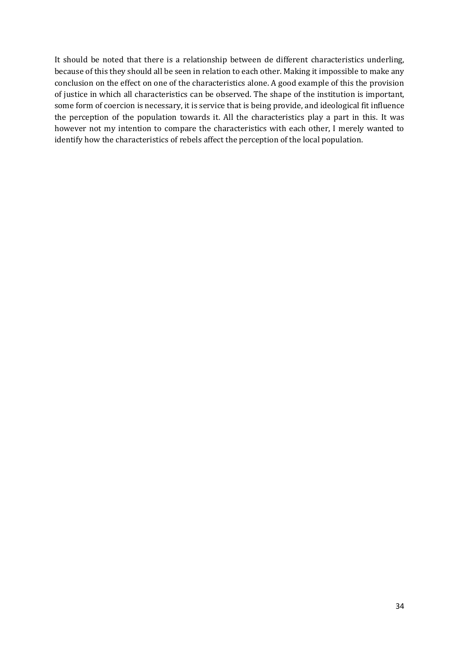It should be noted that there is a relationship between de different characteristics underling, because of this they should all be seen in relation to each other. Making it impossible to make any conclusion on the effect on one of the characteristics alone. A good example of this the provision of justice in which all characteristics can be observed. The shape of the institution is important, some form of coercion is necessary, it is service that is being provide, and ideological fit influence the perception of the population towards it. All the characteristics play a part in this. It was however not my intention to compare the characteristics with each other, I merely wanted to identify how the characteristics of rebels affect the perception of the local population.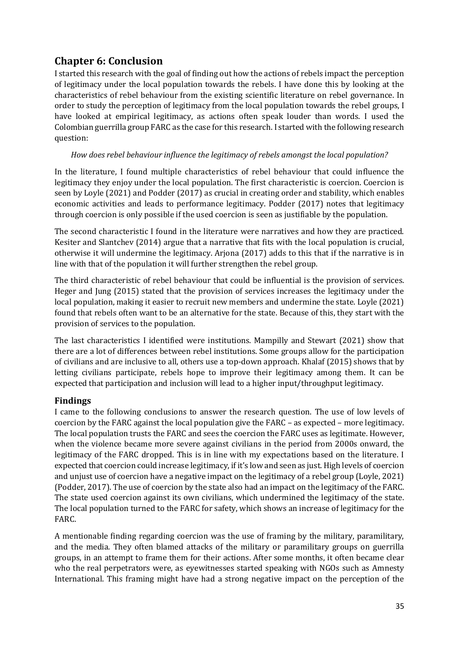### <span id="page-34-0"></span>**Chapter 6: Conclusion**

I started this research with the goal of finding out how the actions of rebels impact the perception of legitimacy under the local population towards the rebels. I have done this by looking at the characteristics of rebel behaviour from the existing scientific literature on rebel governance. In order to study the perception of legitimacy from the local population towards the rebel groups, I have looked at empirical legitimacy, as actions often speak louder than words. I used the Colombian guerrilla group FARC as the case for this research. I started with the following research question:

### *How does rebel behaviour influence the legitimacy of rebels amongst the local population?*

In the literature, I found multiple characteristics of rebel behaviour that could influence the legitimacy they enjoy under the local population. The first characteristic is coercion. Coercion is seen by Loyle (2021) and Podder (2017) as crucial in creating order and stability, which enables economic activities and leads to performance legitimacy. Podder (2017) notes that legitimacy through coercion is only possible if the used coercion is seen as justifiable by the population.

The second characteristic I found in the literature were narratives and how they are practiced. Kesiter and Slantchev (2014) argue that a narrative that fits with the local population is crucial, otherwise it will undermine the legitimacy. Arjona (2017) adds to this that if the narrative is in line with that of the population it will further strengthen the rebel group.

The third characteristic of rebel behaviour that could be influential is the provision of services. Heger and Jung (2015) stated that the provision of services increases the legitimacy under the local population, making it easier to recruit new members and undermine the state. Loyle (2021) found that rebels often want to be an alternative for the state. Because of this, they start with the provision of services to the population.

The last characteristics I identified were institutions. Mampilly and Stewart (2021) show that there are a lot of differences between rebel institutions. Some groups allow for the participation of civilians and are inclusive to all, others use a top-down approach. Khalaf (2015) shows that by letting civilians participate, rebels hope to improve their legitimacy among them. It can be expected that participation and inclusion will lead to a higher input/throughput legitimacy.

### <span id="page-34-1"></span>**Findings**

I came to the following conclusions to answer the research question. The use of low levels of coercion by the FARC against the local population give the FARC – as expected – more legitimacy. The local population trusts the FARC and sees the coercion the FARC uses as legitimate. However, when the violence became more severe against civilians in the period from 2000s onward, the legitimacy of the FARC dropped. This is in line with my expectations based on the literature. I expected that coercion could increase legitimacy, if it's low and seen as just. High levels of coercion and unjust use of coercion have a negative impact on the legitimacy of a rebel group (Loyle, 2021) (Podder, 2017). The use of coercion by the state also had an impact on the legitimacy of the FARC. The state used coercion against its own civilians, which undermined the legitimacy of the state. The local population turned to the FARC for safety, which shows an increase of legitimacy for the FARC.

A mentionable finding regarding coercion was the use of framing by the military, paramilitary, and the media. They often blamed attacks of the military or paramilitary groups on guerrilla groups, in an attempt to frame them for their actions. After some months, it often became clear who the real perpetrators were, as eyewitnesses started speaking with NGOs such as Amnesty International. This framing might have had a strong negative impact on the perception of the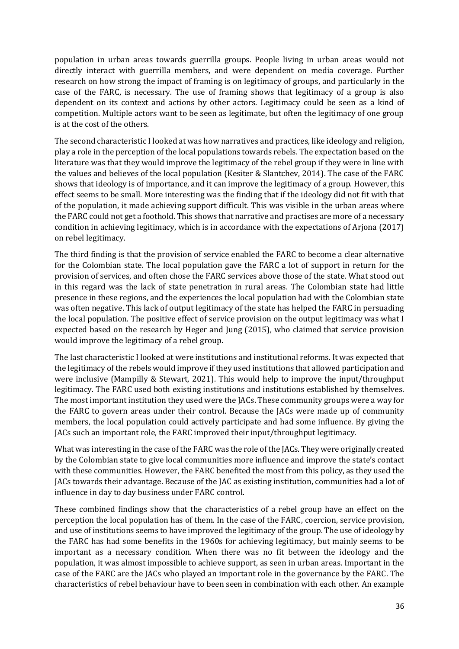population in urban areas towards guerrilla groups. People living in urban areas would not directly interact with guerrilla members, and were dependent on media coverage. Further research on how strong the impact of framing is on legitimacy of groups, and particularly in the case of the FARC, is necessary. The use of framing shows that legitimacy of a group is also dependent on its context and actions by other actors. Legitimacy could be seen as a kind of competition. Multiple actors want to be seen as legitimate, but often the legitimacy of one group is at the cost of the others.

The second characteristic I looked at was how narratives and practices, like ideology and religion, play a role in the perception of the local populations towards rebels. The expectation based on the literature was that they would improve the legitimacy of the rebel group if they were in line with the values and believes of the local population (Kesiter & Slantchev, 2014). The case of the FARC shows that ideology is of importance, and it can improve the legitimacy of a group. However, this effect seems to be small. More interesting was the finding that if the ideology did not fit with that of the population, it made achieving support difficult. This was visible in the urban areas where the FARC could not get a foothold. This shows that narrative and practises are more of a necessary condition in achieving legitimacy, which is in accordance with the expectations of Arjona (2017) on rebel legitimacy.

The third finding is that the provision of service enabled the FARC to become a clear alternative for the Colombian state. The local population gave the FARC a lot of support in return for the provision of services, and often chose the FARC services above those of the state. What stood out in this regard was the lack of state penetration in rural areas. The Colombian state had little presence in these regions, and the experiences the local population had with the Colombian state was often negative. This lack of output legitimacy of the state has helped the FARC in persuading the local population. The positive effect of service provision on the output legitimacy was what I expected based on the research by Heger and Jung (2015), who claimed that service provision would improve the legitimacy of a rebel group.

The last characteristic I looked at were institutions and institutional reforms. It was expected that the legitimacy of the rebels would improve if they used institutions that allowed participation and were inclusive (Mampilly & Stewart, 2021). This would help to improve the input/throughput legitimacy. The FARC used both existing institutions and institutions established by themselves. The most important institution they used were the JACs. These community groups were a way for the FARC to govern areas under their control. Because the JACs were made up of community members, the local population could actively participate and had some influence. By giving the JACs such an important role, the FARC improved their input/throughput legitimacy.

What was interesting in the case of the FARC was the role of the JACs. They were originally created by the Colombian state to give local communities more influence and improve the state's contact with these communities. However, the FARC benefited the most from this policy, as they used the JACs towards their advantage. Because of the JAC as existing institution, communities had a lot of influence in day to day business under FARC control.

These combined findings show that the characteristics of a rebel group have an effect on the perception the local population has of them. In the case of the FARC, coercion, service provision, and use of institutions seems to have improved the legitimacy of the group. The use of ideology by the FARC has had some benefits in the 1960s for achieving legitimacy, but mainly seems to be important as a necessary condition. When there was no fit between the ideology and the population, it was almost impossible to achieve support, as seen in urban areas. Important in the case of the FARC are the JACs who played an important role in the governance by the FARC. The characteristics of rebel behaviour have to been seen in combination with each other. An example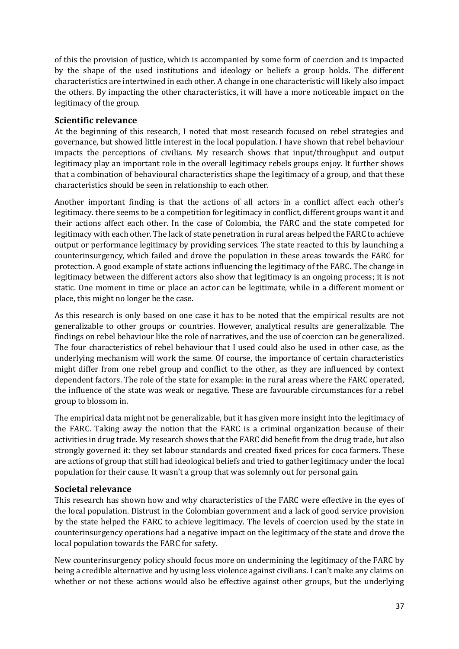of this the provision of justice, which is accompanied by some form of coercion and is impacted by the shape of the used institutions and ideology or beliefs a group holds. The different characteristics are intertwined in each other. A change in one characteristic will likely also impact the others. By impacting the other characteristics, it will have a more noticeable impact on the legitimacy of the group.

### <span id="page-36-0"></span>**Scientific relevance**

At the beginning of this research, I noted that most research focused on rebel strategies and governance, but showed little interest in the local population. I have shown that rebel behaviour impacts the perceptions of civilians. My research shows that input/throughput and output legitimacy play an important role in the overall legitimacy rebels groups enjoy. It further shows that a combination of behavioural characteristics shape the legitimacy of a group, and that these characteristics should be seen in relationship to each other.

Another important finding is that the actions of all actors in a conflict affect each other's legitimacy. there seems to be a competition for legitimacy in conflict, different groups want it and their actions affect each other. In the case of Colombia, the FARC and the state competed for legitimacy with each other. The lack of state penetration in rural areas helped the FARC to achieve output or performance legitimacy by providing services. The state reacted to this by launching a counterinsurgency, which failed and drove the population in these areas towards the FARC for protection. A good example of state actions influencing the legitimacy of the FARC. The change in legitimacy between the different actors also show that legitimacy is an ongoing process; it is not static. One moment in time or place an actor can be legitimate, while in a different moment or place, this might no longer be the case.

As this research is only based on one case it has to be noted that the empirical results are not generalizable to other groups or countries. However, analytical results are generalizable. The findings on rebel behaviour like the role of narratives, and the use of coercion can be generalized. The four characteristics of rebel behaviour that I used could also be used in other case, as the underlying mechanism will work the same. Of course, the importance of certain characteristics might differ from one rebel group and conflict to the other, as they are influenced by context dependent factors. The role of the state for example: in the rural areas where the FARC operated, the influence of the state was weak or negative. These are favourable circumstances for a rebel group to blossom in.

The empirical data might not be generalizable, but it has given more insight into the legitimacy of the FARC. Taking away the notion that the FARC is a criminal organization because of their activities in drug trade. My research shows that the FARC did benefit from the drug trade, but also strongly governed it: they set labour standards and created fixed prices for coca farmers. These are actions of group that still had ideological beliefs and tried to gather legitimacy under the local population for their cause. It wasn't a group that was solemnly out for personal gain.

### <span id="page-36-1"></span>**Societal relevance**

This research has shown how and why characteristics of the FARC were effective in the eyes of the local population. Distrust in the Colombian government and a lack of good service provision by the state helped the FARC to achieve legitimacy. The levels of coercion used by the state in counterinsurgency operations had a negative impact on the legitimacy of the state and drove the local population towards the FARC for safety.

New counterinsurgency policy should focus more on undermining the legitimacy of the FARC by being a credible alternative and by using less violence against civilians. I can't make any claims on whether or not these actions would also be effective against other groups, but the underlying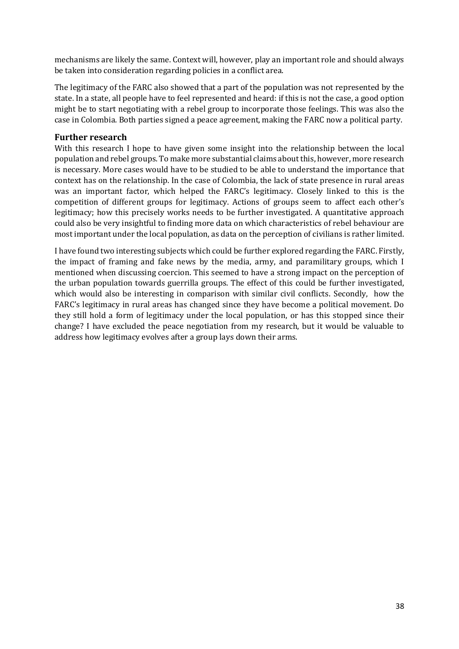mechanisms are likely the same. Context will, however, play an important role and should always be taken into consideration regarding policies in a conflict area.

The legitimacy of the FARC also showed that a part of the population was not represented by the state. In a state, all people have to feel represented and heard: if this is not the case, a good option might be to start negotiating with a rebel group to incorporate those feelings. This was also the case in Colombia. Both parties signed a peace agreement, making the FARC now a political party.

### <span id="page-37-0"></span>**Further research**

With this research I hope to have given some insight into the relationship between the local population and rebel groups. To make more substantial claims about this, however, more research is necessary. More cases would have to be studied to be able to understand the importance that context has on the relationship. In the case of Colombia, the lack of state presence in rural areas was an important factor, which helped the FARC's legitimacy. Closely linked to this is the competition of different groups for legitimacy. Actions of groups seem to affect each other's legitimacy; how this precisely works needs to be further investigated. A quantitative approach could also be very insightful to finding more data on which characteristics of rebel behaviour are most important under the local population, as data on the perception of civilians is rather limited.

I have found two interesting subjects which could be further explored regarding the FARC. Firstly, the impact of framing and fake news by the media, army, and paramilitary groups, which I mentioned when discussing coercion. This seemed to have a strong impact on the perception of the urban population towards guerrilla groups. The effect of this could be further investigated, which would also be interesting in comparison with similar civil conflicts. Secondly, how the FARC's legitimacy in rural areas has changed since they have become a political movement. Do they still hold a form of legitimacy under the local population, or has this stopped since their change? I have excluded the peace negotiation from my research, but it would be valuable to address how legitimacy evolves after a group lays down their arms.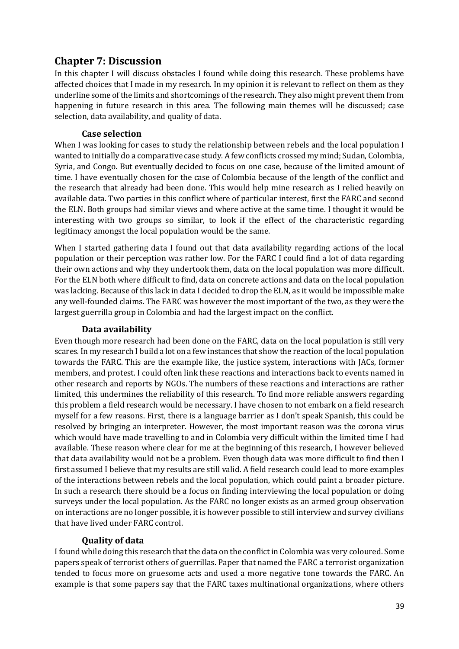### <span id="page-38-0"></span>**Chapter 7: Discussion**

In this chapter I will discuss obstacles I found while doing this research. These problems have affected choices that I made in my research. In my opinion it is relevant to reflect on them as they underline some of the limits and shortcomings of the research. They also might prevent them from happening in future research in this area. The following main themes will be discussed; case selection, data availability, and quality of data.

### <span id="page-38-1"></span>**Case selection**

When I was looking for cases to study the relationship between rebels and the local population I wanted to initially do a comparative case study. A few conflicts crossed my mind; Sudan, Colombia, Syria, and Congo. But eventually decided to focus on one case, because of the limited amount of time. I have eventually chosen for the case of Colombia because of the length of the conflict and the research that already had been done. This would help mine research as I relied heavily on available data. Two parties in this conflict where of particular interest, first the FARC and second the ELN. Both groups had similar views and where active at the same time. I thought it would be interesting with two groups so similar, to look if the effect of the characteristic regarding legitimacy amongst the local population would be the same.

When I started gathering data I found out that data availability regarding actions of the local population or their perception was rather low. For the FARC I could find a lot of data regarding their own actions and why they undertook them, data on the local population was more difficult. For the ELN both where difficult to find, data on concrete actions and data on the local population was lacking. Because of this lack in data I decided to drop the ELN, as it would be impossible make any well-founded claims. The FARC was however the most important of the two, as they were the largest guerrilla group in Colombia and had the largest impact on the conflict.

### <span id="page-38-2"></span>**Data availability**

Even though more research had been done on the FARC, data on the local population is still very scares. In my research I build a lot on a few instances that show the reaction of the local population towards the FARC. This are the example like, the justice system, interactions with JACs, former members, and protest. I could often link these reactions and interactions back to events named in other research and reports by NGOs. The numbers of these reactions and interactions are rather limited, this undermines the reliability of this research. To find more reliable answers regarding this problem a field research would be necessary. I have chosen to not embark on a field research myself for a few reasons. First, there is a language barrier as I don't speak Spanish, this could be resolved by bringing an interpreter. However, the most important reason was the corona virus which would have made travelling to and in Colombia very difficult within the limited time I had available. These reason where clear for me at the beginning of this research, I however believed that data availability would not be a problem. Even though data was more difficult to find then I first assumed I believe that my results are still valid. A field research could lead to more examples of the interactions between rebels and the local population, which could paint a broader picture. In such a research there should be a focus on finding interviewing the local population or doing surveys under the local population. As the FARC no longer exists as an armed group observation on interactions are no longer possible, it is however possible to still interview and survey civilians that have lived under FARC control.

### <span id="page-38-3"></span>**Quality of data**

I found while doing this research that the data on the conflict in Colombia was very coloured. Some papers speak of terrorist others of guerrillas. Paper that named the FARC a terrorist organization tended to focus more on gruesome acts and used a more negative tone towards the FARC. An example is that some papers say that the FARC taxes multinational organizations, where others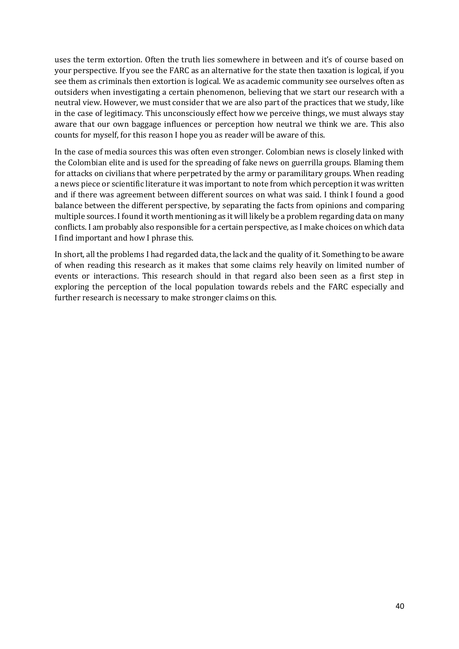uses the term extortion. Often the truth lies somewhere in between and it's of course based on your perspective. If you see the FARC as an alternative for the state then taxation is logical, if you see them as criminals then extortion is logical. We as academic community see ourselves often as outsiders when investigating a certain phenomenon, believing that we start our research with a neutral view. However, we must consider that we are also part of the practices that we study, like in the case of legitimacy. This unconsciously effect how we perceive things, we must always stay aware that our own baggage influences or perception how neutral we think we are. This also counts for myself, for this reason I hope you as reader will be aware of this.

In the case of media sources this was often even stronger. Colombian news is closely linked with the Colombian elite and is used for the spreading of fake news on guerrilla groups. Blaming them for attacks on civilians that where perpetrated by the army or paramilitary groups. When reading a news piece or scientific literature it was important to note from which perception it was written and if there was agreement between different sources on what was said. I think I found a good balance between the different perspective, by separating the facts from opinions and comparing multiple sources. I found it worth mentioning as it will likely be a problem regarding data on many conflicts. I am probably also responsible for a certain perspective, as I make choices on which data I find important and how I phrase this.

In short, all the problems I had regarded data, the lack and the quality of it. Something to be aware of when reading this research as it makes that some claims rely heavily on limited number of events or interactions. This research should in that regard also been seen as a first step in exploring the perception of the local population towards rebels and the FARC especially and further research is necessary to make stronger claims on this.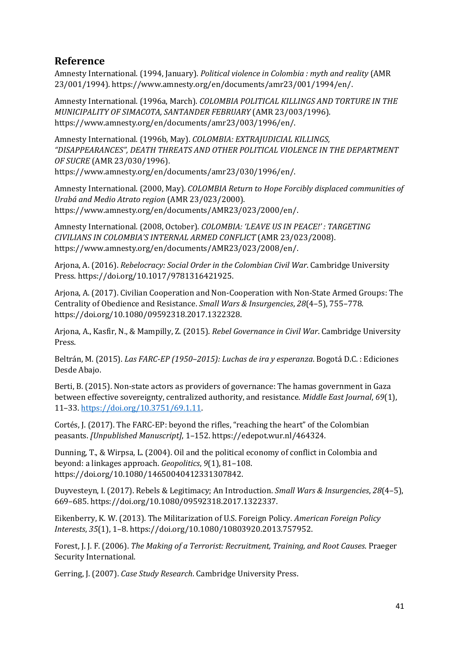### <span id="page-40-0"></span>**Reference**

Amnesty International. (1994, January). *Political violence in Colombia : myth and reality* (AMR 23/001/1994). https://www.amnesty.org/en/documents/amr23/001/1994/en/.

Amnesty International. (1996a, March). *COLOMBIA POLITICAL KILLINGS AND TORTURE IN THE MUNICIPALITY OF SIMACOTA, SANTANDER FEBRUARY* (AMR 23/003/1996). https://www.amnesty.org/en/documents/amr23/003/1996/en/.

Amnesty International. (1996b, May). *COLOMBIA: EXTRAJUDICIAL KILLINGS, "DISAPPEARANCES", DEATH THREATS AND OTHER POLITICAL VIOLENCE IN THE DEPARTMENT OF SUCRE* (AMR 23/030/1996). https://www.amnesty.org/en/documents/amr23/030/1996/en/.

Amnesty International. (2000, May). *COLOMBIA Return to Hope Forcibly displaced communities of Urabá and Medio Atrato region* (AMR 23/023/2000). https://www.amnesty.org/en/documents/AMR23/023/2000/en/.

Amnesty International. (2008, October). *COLOMBIA: 'LEAVE US IN PEACE!' : TARGETING CIVILIANS IN COLOMBIA'S INTERNAL ARMED CONFLICT* (AMR 23/023/2008). https://www.amnesty.org/en/documents/AMR23/023/2008/en/.

Arjona, A. (2016). *Rebelocracy: Social Order in the Colombian Civil War*. Cambridge University Press. https://doi.org/10.1017/9781316421925.

Arjona, A. (2017). Civilian Cooperation and Non-Cooperation with Non-State Armed Groups: The Centrality of Obedience and Resistance. *Small Wars & Insurgencies*, *28*(4–5), 755–778. https://doi.org/10.1080/09592318.2017.1322328.

Arjona, A., Kasfir, N., & Mampilly, Z. (2015). *Rebel Governance in Civil War*. Cambridge University Press.

Beltrán, M. (2015). *Las FARC-EP (1950–2015): Luchas de ira y esperanza*. Bogotá D.C. : Ediciones Desde Abajo.

Berti, B. (2015). Non-state actors as providers of governance: The hamas government in Gaza between effective sovereignty, centralized authority, and resistance. *Middle East Journal*, *69*(1), 11–33[. https://doi.org/10.3751/69.1.11.](https://doi.org/10.3751/69.1.11)

Cortés, J. (2017). The FARC-EP: beyond the rifles, "reaching the heart" of the Colombian peasants. *[Unpublished Manuscript]*, 1–152. https://edepot.wur.nl/464324.

Dunning, T., & Wirpsa, L. (2004). Oil and the political economy of conflict in Colombia and beyond: a linkages approach. *Geopolitics*, *9*(1), 81–108. https://doi.org/10.1080/14650040412331307842.

Duyvesteyn, I. (2017). Rebels & Legitimacy; An Introduction. *Small Wars & Insurgencies*, *28*(4–5), 669–685. https://doi.org/10.1080/09592318.2017.1322337.

Eikenberry, K. W. (2013). The Militarization of U.S. Foreign Policy. *American Foreign Policy Interests*, *35*(1), 1–8. https://doi.org/10.1080/10803920.2013.757952.

Forest, J. J. F. (2006). *The Making of a Terrorist: Recruitment, Training, and Root Causes*. Praeger Security International.

Gerring, J. (2007). *Case Study Research*. Cambridge University Press.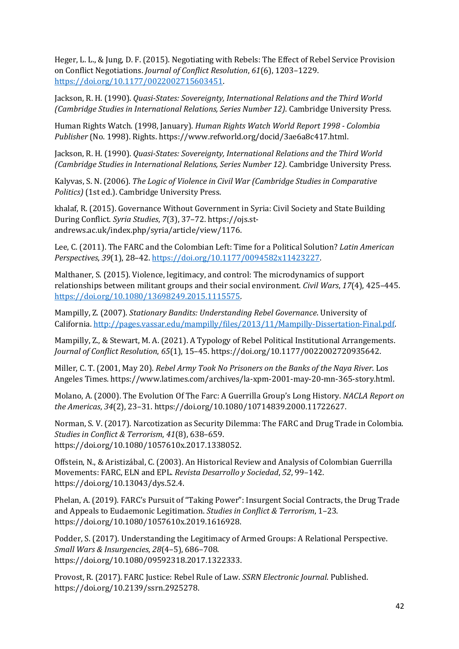Heger, L. L., & Jung, D. F. (2015). Negotiating with Rebels: The Effect of Rebel Service Provision on Conflict Negotiations. *Journal of Conflict Resolution*, *61*(6), 1203–1229. [https://doi.org/10.1177/0022002715603451.](https://doi.org/10.1177/0022002715603451)

Jackson, R. H. (1990). *Quasi-States: Sovereignty, International Relations and the Third World (Cambridge Studies in International Relations, Series Number 12)*. Cambridge University Press.

Human Rights Watch. (1998, January). *Human Rights Watch World Report 1998 - Colombia Publisher* (No. 1998). Rights. https://www.refworld.org/docid/3ae6a8c417.html.

Jackson, R. H. (1990). *Quasi-States: Sovereignty, International Relations and the Third World (Cambridge Studies in International Relations, Series Number 12)*. Cambridge University Press.

Kalyvas, S. N. (2006). *The Logic of Violence in Civil War (Cambridge Studies in Comparative Politics)* (1st ed.). Cambridge University Press.

khalaf, R. (2015). Governance Without Government in Syria: Civil Society and State Building During Conflict. *Syria Studies*, *7*(3), 37–72. https://ojs.standrews.ac.uk/index.php/syria/article/view/1176.

Lee, C. (2011). The FARC and the Colombian Left: Time for a Political Solution? *Latin American Perspectives*, *39*(1), 28–42. [https://doi.org/10.1177/0094582x11423227.](https://doi.org/10.1177/0094582x11423227)

Malthaner, S. (2015). Violence, legitimacy, and control: The microdynamics of support relationships between militant groups and their social environment. *Civil Wars*, *17*(4), 425–445. [https://doi.org/10.1080/13698249.2015.1115575.](https://doi.org/10.1080/13698249.2015.1115575)

Mampilly, Z. (2007). *Stationary Bandits: Understanding Rebel Governance*. University of California[. http://pages.vassar.edu/mampilly/files/2013/11/Mampilly-Dissertation-Final.pdf.](http://pages.vassar.edu/mampilly/files/2013/11/Mampilly-Dissertation-Final.pdf)

Mampilly, Z., & Stewart, M. A. (2021). A Typology of Rebel Political Institutional Arrangements. *Journal of Conflict Resolution*, *65*(1), 15–45. https://doi.org/10.1177/0022002720935642.

Miller, C. T. (2001, May 20). *Rebel Army Took No Prisoners on the Banks of the Naya River*. Los Angeles Times. https://www.latimes.com/archives/la-xpm-2001-may-20-mn-365-story.html.

Molano, A. (2000). The Evolution Of The Farc: A Guerrilla Group's Long History. *NACLA Report on the Americas*, *34*(2), 23–31. https://doi.org/10.1080/10714839.2000.11722627.

Norman, S. V. (2017). Narcotization as Security Dilemma: The FARC and Drug Trade in Colombia. *Studies in Conflict & Terrorism*, *41*(8), 638–659. https://doi.org/10.1080/1057610x.2017.1338052.

Offstein, N., & Aristizábal, C. (2003). An Historical Review and Analysis of Colombian Guerrilla Movements: FARC, ELN and EPL. *Revista Desarrollo y Sociedad*, *52*, 99–142. https://doi.org/10.13043/dys.52.4.

Phelan, A. (2019). FARC's Pursuit of "Taking Power": Insurgent Social Contracts, the Drug Trade and Appeals to Eudaemonic Legitimation. *Studies in Conflict & Terrorism*, 1–23. https://doi.org/10.1080/1057610x.2019.1616928.

Podder, S. (2017). Understanding the Legitimacy of Armed Groups: A Relational Perspective. *Small Wars & Insurgencies*, *28*(4–5), 686–708. https://doi.org/10.1080/09592318.2017.1322333.

Provost, R. (2017). FARC Justice: Rebel Rule of Law. *SSRN Electronic Journal*. Published. https://doi.org/10.2139/ssrn.2925278.